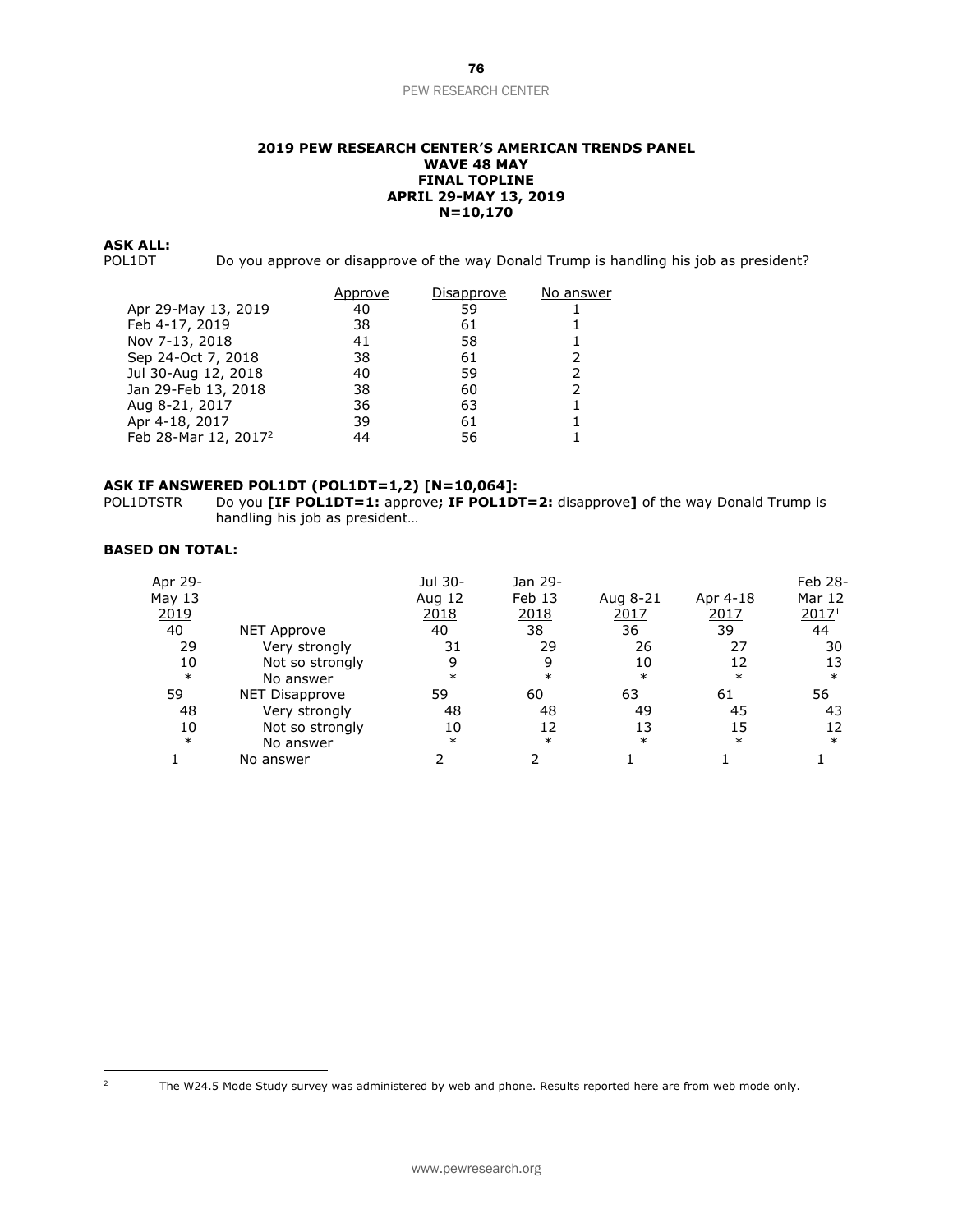#### **2019 PEW RESEARCH CENTER'S AMERICAN TRENDS PANEL WAVE 48 MAY FINAL TOPLINE APRIL 29-MAY 13, 2019 N=10,170**

**ASK ALL:**

Do you approve or disapprove of the way Donald Trump is handling his job as president?

|                                  | Approve | Disapprove | No answer |
|----------------------------------|---------|------------|-----------|
| Apr 29-May 13, 2019              | 40      | 59         |           |
| Feb 4-17, 2019                   | 38      | 61         |           |
| Nov 7-13, 2018                   | 41      | 58         |           |
| Sep 24-Oct 7, 2018               | 38      | 61         |           |
| Jul 30-Aug 12, 2018              | 40      | 59         |           |
| Jan 29-Feb 13, 2018              | 38      | 60         |           |
| Aug 8-21, 2017                   | 36      | 63         |           |
| Apr 4-18, 2017                   | 39      | 61         |           |
| Feb 28-Mar 12, 2017 <sup>2</sup> | 44      | 56         |           |

#### **ASK IF ANSWERED POL1DT (POL1DT=1,2) [N=10,064]:**

POL1DTSTR Do you **[IF POL1DT=1:** approve**; IF POL1DT=2:** disapprove**]** of the way Donald Trump is handling his job as president…

# **BASED ON TOTAL:**

| Apr 29- |                    | Jul 30- | Jan 29- |          |          | Feb 28- |
|---------|--------------------|---------|---------|----------|----------|---------|
| May 13  |                    | Aug 12  | Feb 13  | Aug 8-21 | Apr 4-18 | Mar 12  |
| 2019    |                    | 2018    | 2018    | 2017     | 2017     | 20171   |
| 40      | <b>NET Approve</b> | 40      | 38      | 36       | 39       | 44      |
| 29      | Very strongly      | 31      | 29      | 26       | 27       | 30      |
| 10      | Not so strongly    | 9       | 9       | 10       | 12       | 13      |
| $\ast$  | No answer          | $\ast$  | $\ast$  | $\ast$   | $\ast$   | $\ast$  |
| 59      | NET Disapprove     | 59      | 60      | 63       | 61       | 56      |
| 48      | Very strongly      | 48      | 48      | 49       | 45       | 43      |
| 10      | Not so strongly    | 10      | 12      | 13       | 15       | 12      |
| $\ast$  | No answer          | $\ast$  | $\ast$  | $\ast$   | $\ast$   | $\ast$  |
|         | No answer          |         |         |          |          |         |

<sup>&</sup>lt;sup>2</sup> The W24.5 Mode Study survey was administered by web and phone. Results reported here are from web mode only.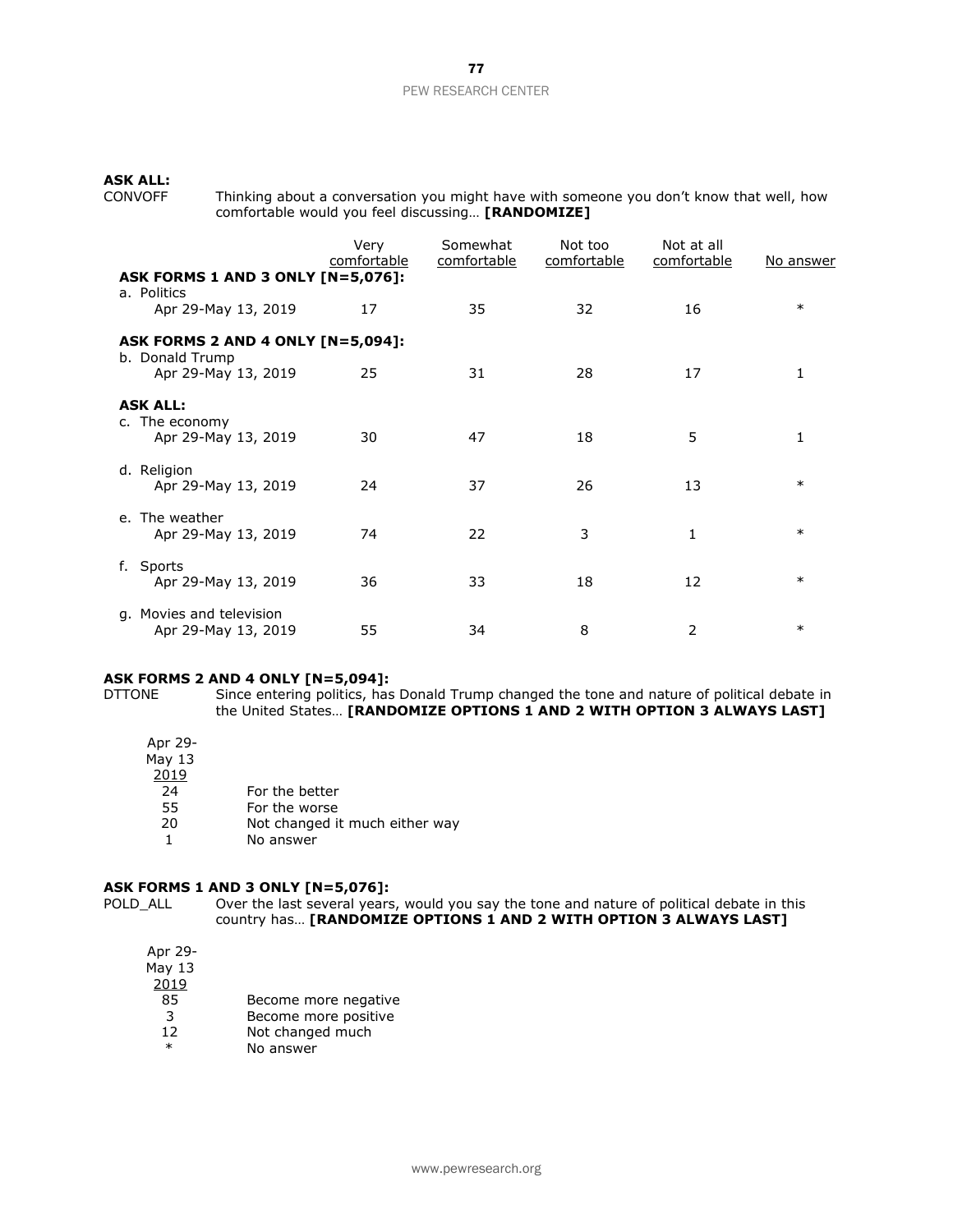# **ASK ALL:**

CONVOFF Thinking about a conversation you might have with someone you don't know that well, how comfortable would you feel discussing… **[RANDOMIZE]**

|                                                                         | Very<br>comfortable | Somewhat<br>comfortable | Not too<br>comfortable | Not at all<br>comfortable | No answer |
|-------------------------------------------------------------------------|---------------------|-------------------------|------------------------|---------------------------|-----------|
| ASK FORMS 1 AND 3 ONLY [N=5,076]:<br>a. Politics<br>Apr 29-May 13, 2019 | 17                  | 35                      | 32                     | 16                        | $\ast$    |
| <b>ASK FORMS 2 AND 4 ONLY [N=5,094]:</b>                                |                     |                         |                        |                           |           |
| b. Donald Trump<br>Apr 29-May 13, 2019                                  | 25                  | 31                      | 28                     | 17                        | 1         |
| <b>ASK ALL:</b><br>c. The economy<br>Apr 29-May 13, 2019                | 30                  | 47                      | 18                     | 5                         | 1         |
| d. Religion<br>Apr 29-May 13, 2019                                      | 24                  | 37                      | 26                     | 13                        | $\ast$    |
| e. The weather<br>Apr 29-May 13, 2019                                   | 74                  | 22                      | 3                      | 1                         | $\ast$    |
| Sports<br>f.<br>Apr 29-May 13, 2019                                     | 36                  | 33                      | 18                     | 12                        | $\ast$    |
| g. Movies and television<br>Apr 29-May 13, 2019                         | 55                  | 34                      | 8                      | 2                         | $\ast$    |

#### **ASK FORMS 2 AND 4 ONLY [N=5,094]:**

DTTONE Since entering politics, has Donald Trump changed the tone and nature of political debate in the United States… **[RANDOMIZE OPTIONS 1 AND 2 WITH OPTION 3 ALWAYS LAST]**

Apr 29- May 13

 $\frac{2019}{24}$ 

- 24 For the better<br>55 For the worse
- 55 For the worse<br>20 **Not changed** it
- Not changed it much either way
- 1 No answer

### **ASK FORMS 1 AND 3 ONLY [N=5,076]:**

POLD\_ALL Over the last several years, would you say the tone and nature of political debate in this country has… **[RANDOMIZE OPTIONS 1 AND 2 WITH OPTION 3 ALWAYS LAST]**

| Apr 29- |
|---------|
| May 13  |
| 2019    |
| 85      |
| ર       |

- Become more negative
- 3 Become more positive<br>12 Not changed much
- 12 Not changed much<br>
No answer No answer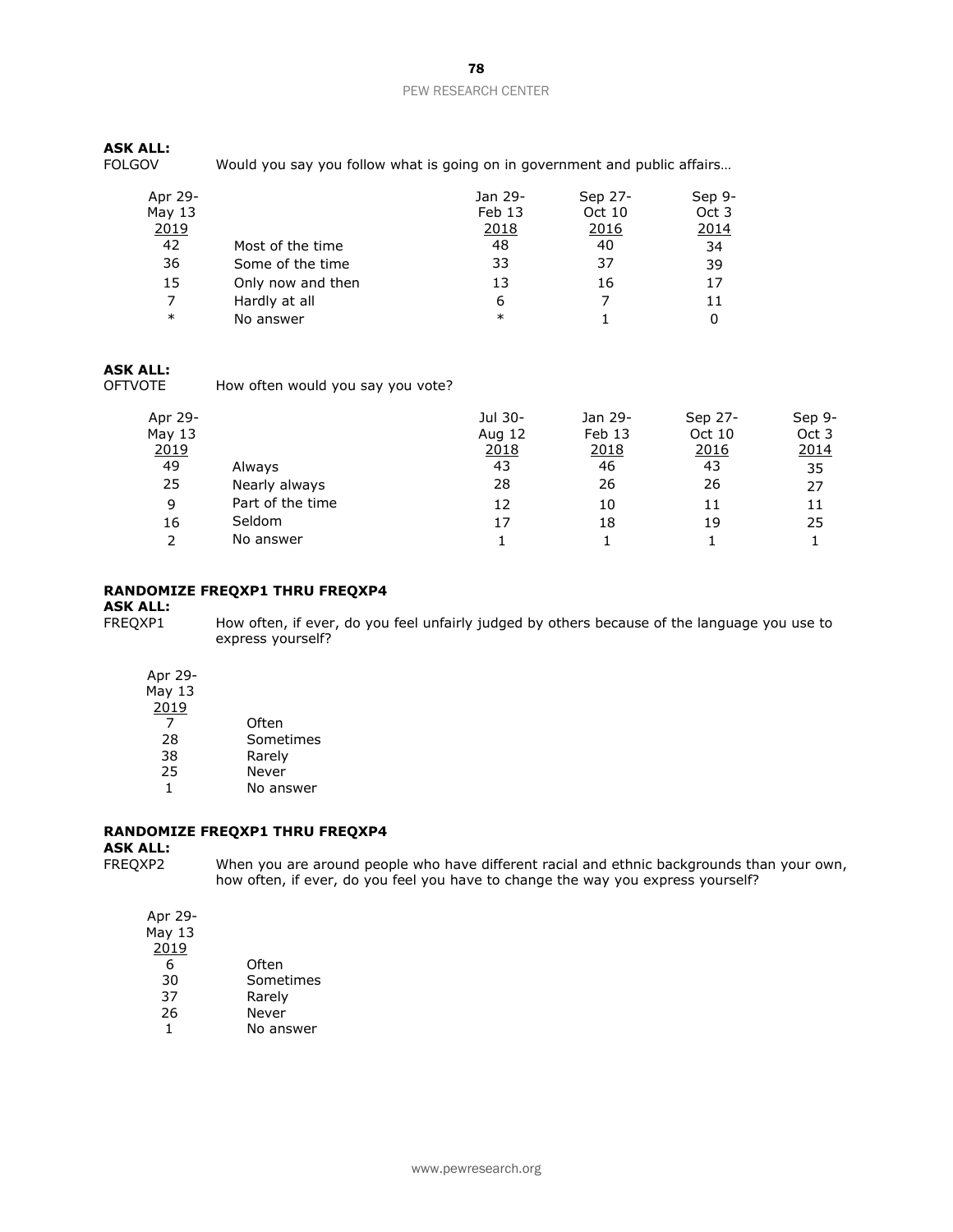# **ASK ALL:**

Would you say you follow what is going on in government and public affairs...

| Apr 29-<br>May $13$ |                   | Jan 29-<br>Feb 13 | Sep 27-<br>Oct 10 | Sep 9-<br>Oct 3 |
|---------------------|-------------------|-------------------|-------------------|-----------------|
| 2019                |                   | 2018              | 2016              | 2014            |
| 42                  | Most of the time  | 48                | 40                | 34              |
| 36                  | Some of the time  | 33                | 37                | 39              |
| 15                  | Only now and then | 13                | 16                | 17              |
|                     | Hardly at all     | 6                 |                   | 11              |
| $\ast$              | No answer         | $\ast$            |                   |                 |

### **ASK ALL:**

OFTVOTE How often would you say you vote?

| Apr 29-           |                  | Jul 30- | Jan 29-       | Sep 27-      | Sep 9- |
|-------------------|------------------|---------|---------------|--------------|--------|
| May 13            |                  | Aug 12  | Feb 13        | Oct 10       | Oct 3  |
| $\frac{2019}{49}$ |                  | 2018    | <u> 2018 </u> | <u> 2016</u> | 2014   |
|                   | Always           | 43      | 46            | 43           | 35     |
| 25                | Nearly always    | 28      | 26            | 26           | 27     |
| 9                 | Part of the time | 12      | 10            | 11           | 11     |
| 16                | Seldom           | 17      | 18            | 19           | 25     |
| $\mathcal{P}$     | No answer        |         |               |              |        |

# **RANDOMIZE FREQXP1 THRU FREQXP4**

# **ASK ALL:**

How often, if ever, do you feel unfairly judged by others because of the language you use to express yourself?

Apr 29-

May 13 2019

| 2 U J J |           |
|---------|-----------|
|         | Often     |
| 28      | Sometimes |
| 38      | Rarely    |
| 25      | Never     |
| 1       | No answer |

# **RANDOMIZE FREQXP1 THRU FREQXP4**

**ASK ALL:**

When you are around people who have different racial and ethnic backgrounds than your own, how often, if ever, do you feel you have to change the way you express yourself?

Apr 29- May 13 2019 6 Often 30 Sometimes

37 Rarely<br>26 Never

- 26 Never<br>1 No ans
- No answer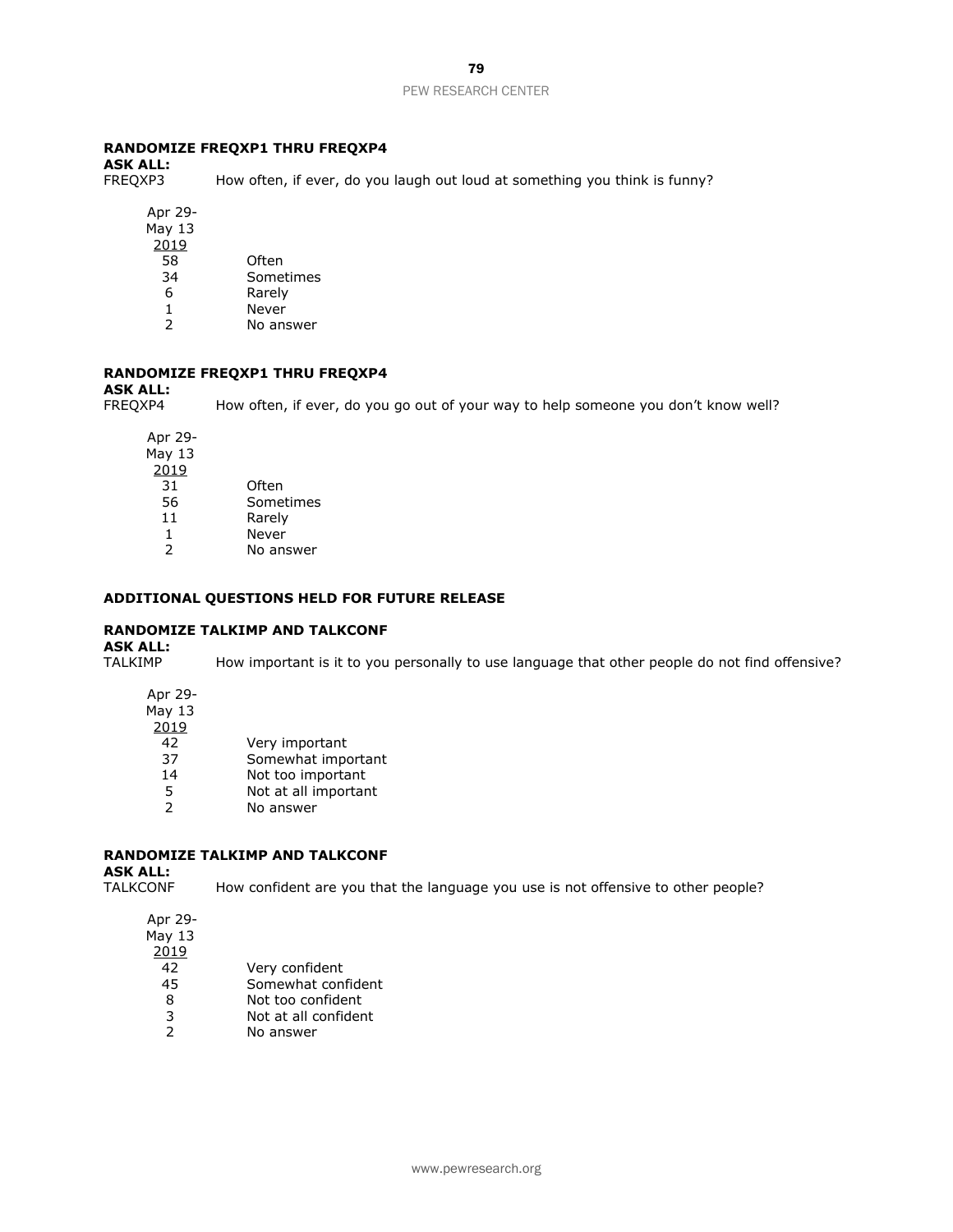# **RANDOMIZE FREQXP1 THRU FREQXP4**

**ASK ALL:**

How often, if ever, do you laugh out loud at something you think is funny?

Apr 29- May 13 2019

| 58 | Often     |
|----|-----------|
| 34 | Sometimes |
| 6  | Rarely    |

- 
- 1 Never<br>2 No ans No answer

# **RANDOMIZE FREQXP1 THRU FREQXP4**

**ASK ALL:**

FREQXP4 How often, if ever, do you go out of your way to help someone you don't know well?

Apr 29- May 13 2019 31 Often 56 Sometimes 11 Rarely 1 Never 2 No answer

# **ADDITIONAL QUESTIONS HELD FOR FUTURE RELEASE**

# **RANDOMIZE TALKIMP AND TALKCONF**

**ASK ALL:**

How important is it to you personally to use language that other people do not find offensive?

Apr 29- May 13 2019 42 Very important 37 Somewhat important 14 Not too important 5 Not at all important<br>2 No answer No answer

# **RANDOMIZE TALKIMP AND TALKCONF**

**ASK ALL:**

TALKCONF How confident are you that the language you use is not offensive to other people?

| Apr 29- |                      |
|---------|----------------------|
| May 13  |                      |
| 2019    |                      |
| 42      | Very confident       |
| 45      | Somewhat confident   |
| 8       | Not too confident    |
| 3       | Not at all confident |
| 2       | No answer            |
|         |                      |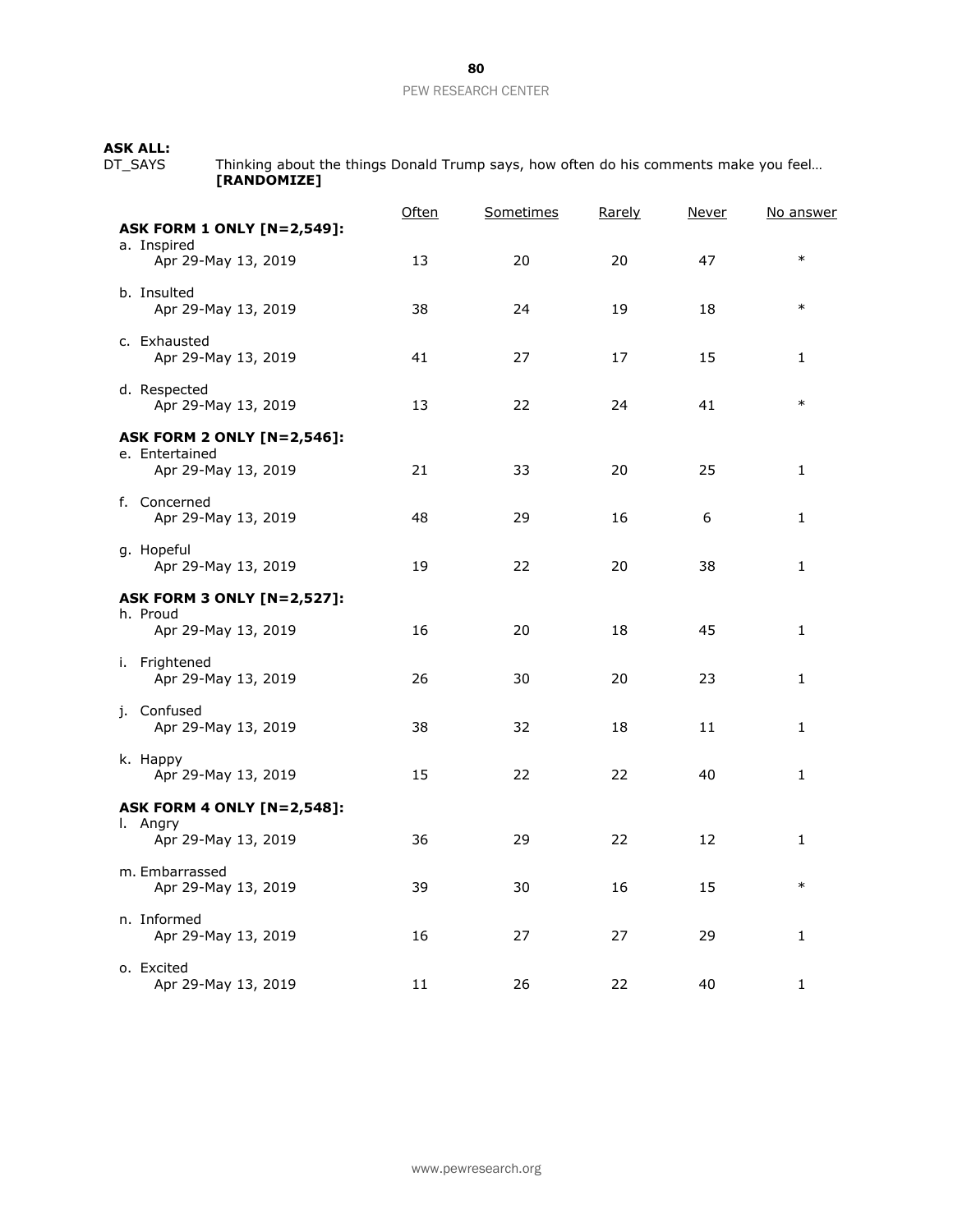# **ASK ALL:**

DT\_SAYS Thinking about the things Donald Trump says, how often do his comments make you feel… **[RANDOMIZE]**

|                                                     | Often | Sometimes | Rarely | <b>Never</b> | <u>No answer</u> |
|-----------------------------------------------------|-------|-----------|--------|--------------|------------------|
| <b>ASK FORM 1 ONLY [N=2,549]:</b><br>a. Inspired    |       |           |        |              |                  |
| Apr 29-May 13, 2019                                 | 13    | 20        | 20     | 47           | $\ast$           |
| b. Insulted                                         |       |           |        |              |                  |
| Apr 29-May 13, 2019                                 | 38    | 24        | 19     | 18           | $\ast$           |
| c. Exhausted                                        |       |           |        |              |                  |
| Apr 29-May 13, 2019                                 | 41    | 27        | 17     | 15           | 1                |
| d. Respected<br>Apr 29-May 13, 2019                 | 13    | 22        | 24     | 41           | $\ast$           |
|                                                     |       |           |        |              |                  |
| <b>ASK FORM 2 ONLY [N=2,546]:</b><br>e. Entertained |       |           |        |              |                  |
| Apr 29-May 13, 2019                                 | 21    | 33        | 20     | 25           | 1                |
| f. Concerned                                        |       |           |        |              |                  |
| Apr 29-May 13, 2019                                 | 48    | 29        | 16     | 6            | 1                |
| g. Hopeful                                          |       |           |        |              |                  |
| Apr 29-May 13, 2019                                 | 19    | 22        | 20     | 38           | 1                |
| <b>ASK FORM 3 ONLY [N=2,527]:</b>                   |       |           |        |              |                  |
| h. Proud<br>Apr 29-May 13, 2019                     | 16    | 20        | 18     | 45           | 1                |
|                                                     |       |           |        |              |                  |
| i. Frightened<br>Apr 29-May 13, 2019                | 26    | 30        | 20     | 23           | 1                |
| j. Confused                                         |       |           |        |              |                  |
| Apr 29-May 13, 2019                                 | 38    | 32        | 18     | 11           | 1                |
| k. Happy                                            |       |           |        |              |                  |
| Apr 29-May 13, 2019                                 | 15    | 22        | 22     | 40           | 1                |
| <b>ASK FORM 4 ONLY [N=2,548]:</b>                   |       |           |        |              |                  |
| I. Angry<br>Apr 29-May 13, 2019                     | 36    | 29        | 22     | 12           | 1                |
|                                                     |       |           |        |              |                  |
| m. Embarrassed<br>Apr 29-May 13, 2019               | 39    | 30        | 16     | 15           | $\ast$           |
| n. Informed                                         |       |           |        |              |                  |
| Apr 29-May 13, 2019                                 | 16    | 27        | 27     | 29           | 1                |
| o. Excited                                          |       |           |        |              |                  |
| Apr 29-May 13, 2019                                 | 11    | 26        | 22     | 40           | 1                |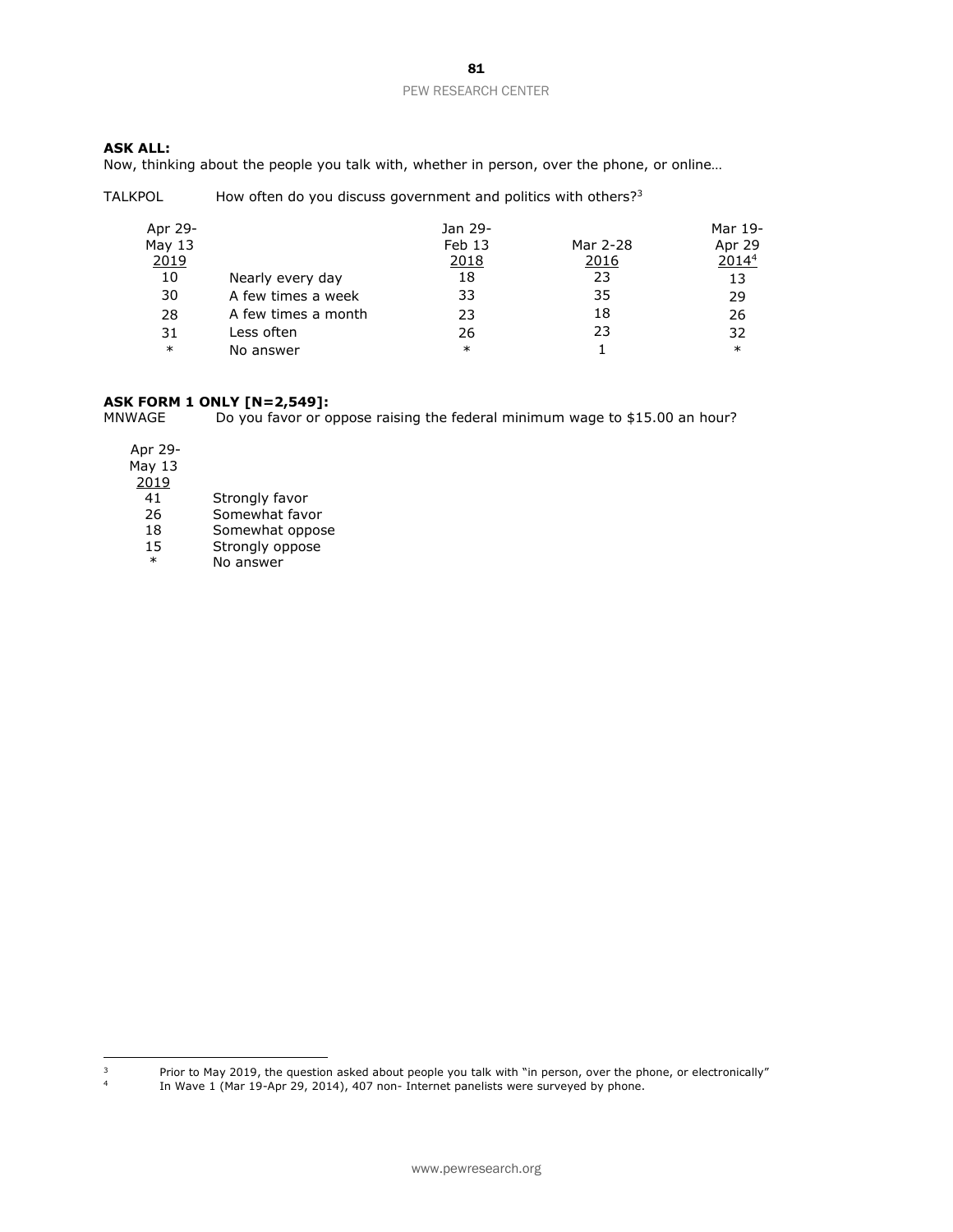# **ASK ALL:**

Now, thinking about the people you talk with, whether in person, over the phone, or online…

TALKPOL How often do you discuss government and politics with others?<sup>3</sup>

| Apr 29-      |                     | Jan 29- |          | Mar 19- |
|--------------|---------------------|---------|----------|---------|
| May $13$     |                     | Feb 13  | Mar 2-28 | Apr 29  |
| <u> 2019</u> |                     | 2018    | 2016     | 20144   |
| 10           | Nearly every day    | 18      | 23       | 13      |
| 30           | A few times a week  | 33      | 35       | 29      |
| 28           | A few times a month | 23      | 18       | 26      |
| 31           | Less often          | 26      | 23       | 32      |
| $\ast$       | No answer           | $\ast$  |          | $\ast$  |

# **ASK FORM 1 ONLY [N=2,549]:**

Do you favor or oppose raising the federal minimum wage to \$15.00 an hour?

Apr 29- May 13  $\frac{2019}{41}$ 41 Strongly favor<br>26 Somewhat favo Somewhat favor 18 Somewhat oppose 15 Strongly oppose \* No answer

 $\mathsf 3$ 

<sup>3</sup> Prior to May 2019, the question asked about people you talk with "in person, over the phone, or electronically"

4 In Wave 1 (Mar 19-Apr 29, 2014), 407 non- Internet panelists were surveyed by phone.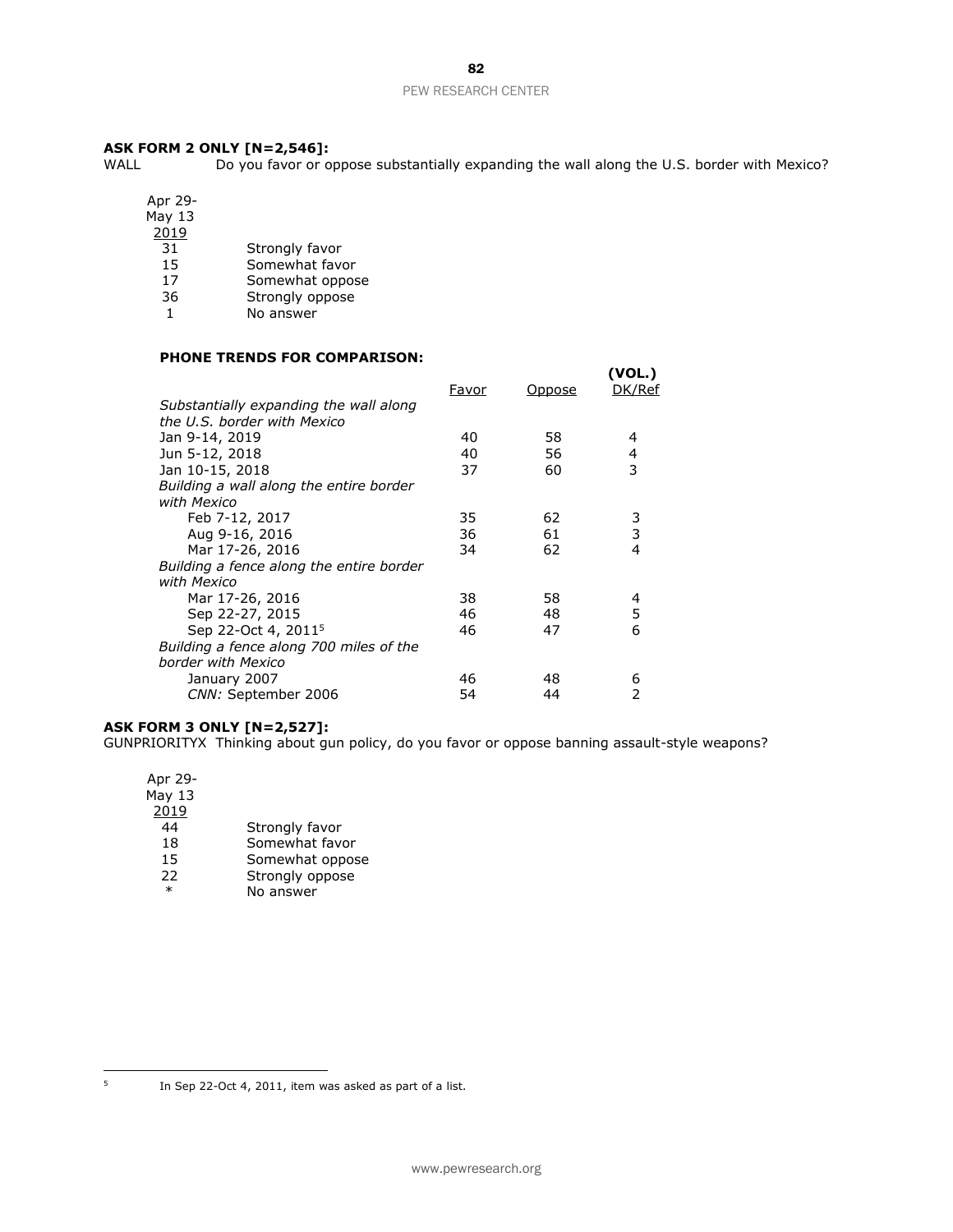82

# PEW RESEARCH CENTER

# **ASK FORM 2 ONLY [N=2,546]:**<br>WALL Do you favor or o

Do you favor or oppose substantially expanding the wall along the U.S. border with Mexico?

Apr 29-

May 13

 $\frac{2019}{31}$ 

- 31 Strongly favor<br>15 Somewhat favo
- 15 Somewhat favor<br>17 Somewhat oppos
- Somewhat oppose
- 36 Strongly oppose
- 1 No answer

# **PHONE TRENDS FOR COMPARISON:**

|                                          |       |        | (VOL.) |
|------------------------------------------|-------|--------|--------|
|                                          | Favor | Oppose | DK/Ref |
| Substantially expanding the wall along   |       |        |        |
| the U.S. border with Mexico              |       |        |        |
| Jan 9-14, 2019                           | 40    | 58     | 4      |
| Jun 5-12, 2018                           | 40    | 56     | 4      |
| Jan 10-15, 2018                          | 37    | 60     | 3      |
| Building a wall along the entire border  |       |        |        |
| with Mexico                              |       |        |        |
| Feb 7-12, 2017                           | 35    | 62     | 3      |
| Aug 9-16, 2016                           | 36    | 61     | 3      |
| Mar 17-26, 2016                          | 34    | 62     | 4      |
| Building a fence along the entire border |       |        |        |
| with Mexico                              |       |        |        |
| Mar 17-26, 2016                          | 38    | 58     | 4      |
| Sep 22-27, 2015                          | 46    | 48     | 5      |
| Sep 22-Oct 4, 2011 <sup>5</sup>          | 46    | 47     | 6      |
| Building a fence along 700 miles of the  |       |        |        |
| border with Mexico                       |       |        |        |
| January 2007                             | 46    | 48     | 6      |
| CNN: September 2006                      | 54    | 44     |        |
|                                          |       |        |        |

# **ASK FORM 3 ONLY [N=2,527]:**

GUNPRIORITYX Thinking about gun policy, do you favor or oppose banning assault-style weapons?

| Apr 29-  |                 |
|----------|-----------------|
| May $13$ |                 |
| 2019     |                 |
| 44       | Strongly favor  |
| 18       | Somewhat favor  |
| 15       | Somewhat oppose |
| 22       | Strongly oppose |
| $\ast$   | No answer       |
|          |                 |

In Sep 22-Oct 4, 2011, item was asked as part of a list.

 $\overline{5}$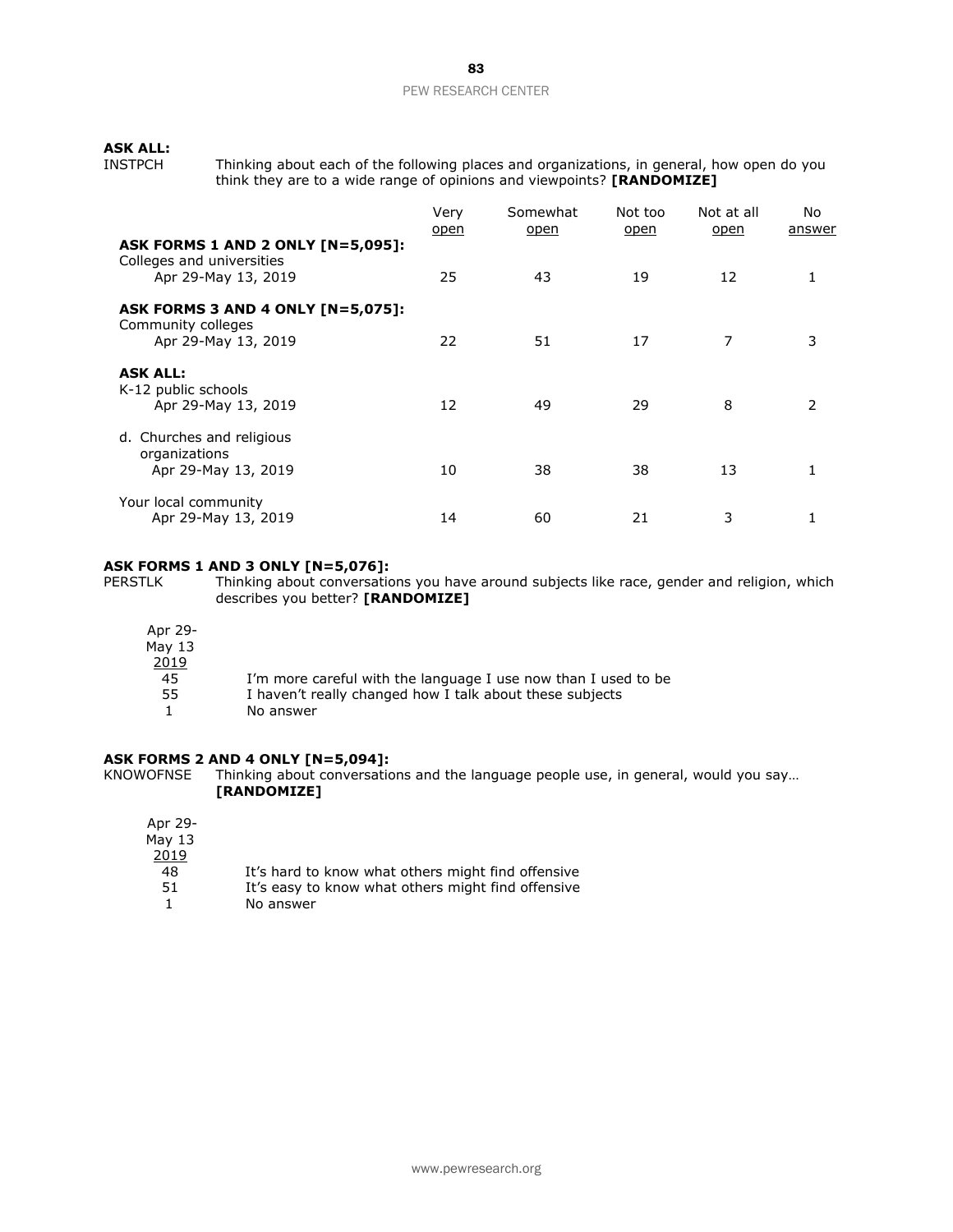# **ASK ALL:**

Thinking about each of the following places and organizations, in general, how open do you think they are to a wide range of opinions and viewpoints? **[RANDOMIZE]**

|                                                                                       | Very<br><u>open</u> | Somewhat<br><u>open</u> | Not too<br><u>open</u> | Not at all<br>open | No.<br>answer |
|---------------------------------------------------------------------------------------|---------------------|-------------------------|------------------------|--------------------|---------------|
| ASK FORMS 1 AND 2 ONLY [N=5,095]:<br>Colleges and universities<br>Apr 29-May 13, 2019 | 25                  | 43                      | 19                     | 12                 |               |
| ASK FORMS 3 AND 4 ONLY [N=5,075]:<br>Community colleges<br>Apr 29-May 13, 2019        | 22                  | 51                      | 17                     | 7                  | 3             |
| <b>ASK ALL:</b><br>K-12 public schools<br>Apr 29-May 13, 2019                         | 12                  | 49                      | 29                     | 8                  | $\mathcal{P}$ |
| d. Churches and religious<br>organizations<br>Apr 29-May 13, 2019                     | 10                  | 38                      | 38                     | 13                 |               |
| Your local community<br>Apr 29-May 13, 2019                                           | 14                  | 60                      | 21                     | 3                  |               |

# **ASK FORMS 1 AND 3 ONLY [N=5,076]:**<br>PERSTLK Thinking about conversation

Thinking about conversations you have around subjects like race, gender and religion, which describes you better? **[RANDOMIZE]**

| Apr 29-  |                                                                |
|----------|----------------------------------------------------------------|
| May $13$ |                                                                |
| 2019     |                                                                |
| 45       | I'm more careful with the language I use now than I used to be |
| 55       | I haven't really changed how I talk about these subjects       |
|          | No answer                                                      |

#### **ASK FORMS 2 AND 4 ONLY [N=5,094]:**

KNOWOFNSE Thinking about conversations and the language people use, in general, would you say… **[RANDOMIZE]**

| Apr 29-  |                                                    |
|----------|----------------------------------------------------|
| May $13$ |                                                    |
| 2019     |                                                    |
| 48       | It's hard to know what others might find offensive |
| 51       | It's easy to know what others might find offensive |
|          | No answer                                          |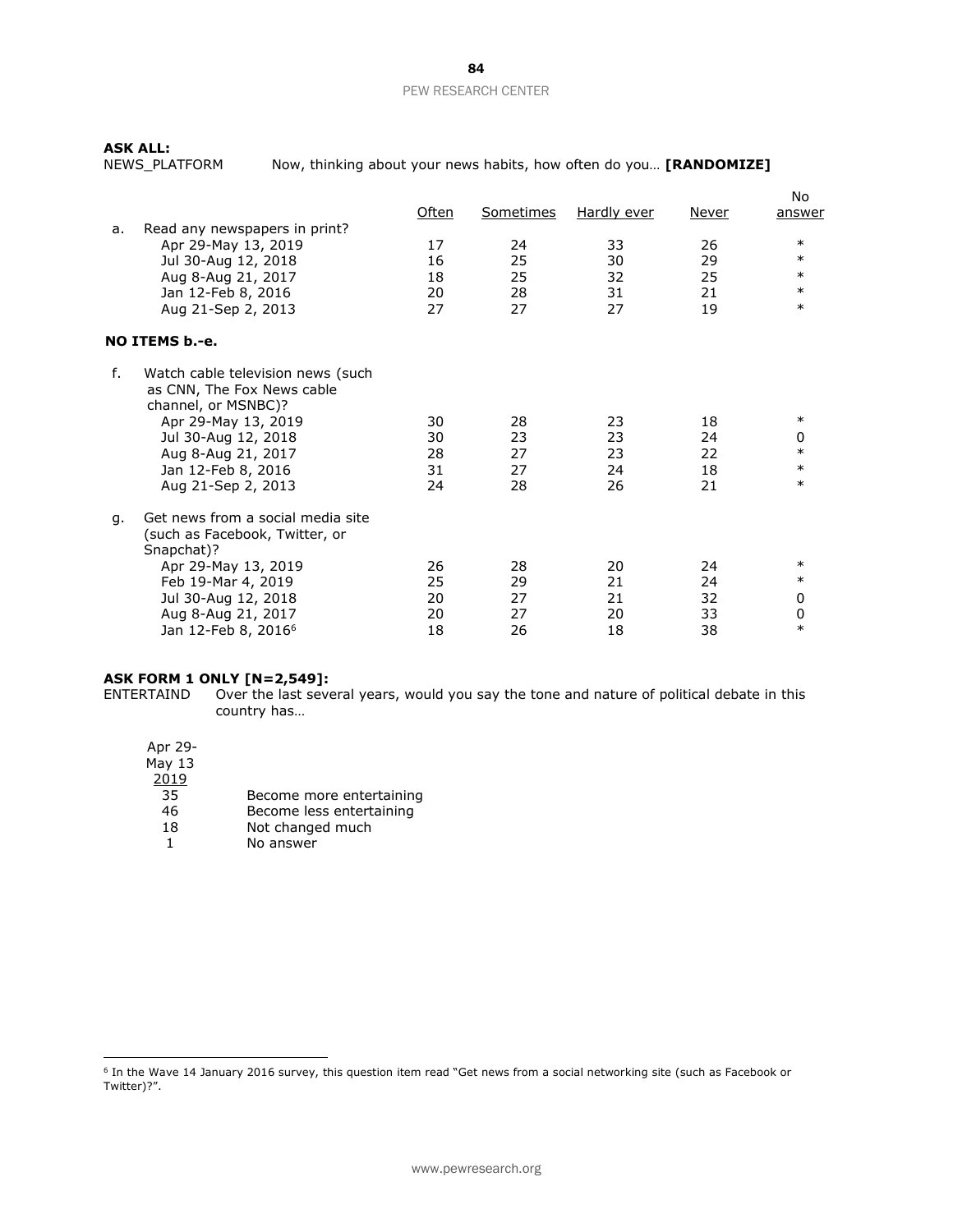**ASK ALL:**

Now, thinking about your news habits, how often do you... **[RANDOMIZE]** 

|    |                                   | <u>Often</u> | <b>Sometimes</b> | <b>Hardly ever</b> | Never    | No<br>answer |
|----|-----------------------------------|--------------|------------------|--------------------|----------|--------------|
| a. | Read any newspapers in print?     | 17           | 24               | 33                 | 26       | $\ast$       |
|    | Apr 29-May 13, 2019               | 16           |                  | 30                 | 29       | $\ast$       |
|    | Jul 30-Aug 12, 2018               |              | 25               | 32                 | 25       | $\ast$       |
|    | Aug 8-Aug 21, 2017                | 18           | 25               |                    |          | $\ast$       |
|    | Jan 12-Feb 8, 2016                | 20           | 28               | 31                 | 21       | $\ast$       |
|    | Aug 21-Sep 2, 2013                | 27           | 27               | 27                 | 19       |              |
|    | NO ITEMS b.-e.                    |              |                  |                    |          |              |
| f. | Watch cable television news (such |              |                  |                    |          |              |
|    | as CNN, The Fox News cable        |              |                  |                    |          |              |
|    | channel, or MSNBC)?               |              |                  |                    |          |              |
|    | Apr 29-May 13, 2019               | 30           | 28               | 23                 | 18       | $\ast$       |
|    | Jul 30-Aug 12, 2018               | 30           | 23               | 23                 | 24       | 0            |
|    | Aug 8-Aug 21, 2017                | 28           | 27               | 23                 | 22       | $\ast$       |
|    | Jan 12-Feb 8, 2016                | 31           | 27               | 24                 | 18       | $\ast$       |
|    | Aug 21-Sep 2, 2013                | 24           | 28               | 26                 | 21       | $\ast$       |
|    | Get news from a social media site |              |                  |                    |          |              |
| g. | (such as Facebook, Twitter, or    |              |                  |                    |          |              |
|    | Snapchat)?                        |              |                  |                    |          |              |
|    |                                   | 26           | 28               | 20                 | 24       | $\ast$       |
|    | Apr 29-May 13, 2019               |              |                  |                    |          | $\ast$       |
|    | Feb 19-Mar 4, 2019                | 25           | 29<br>27         | 21                 | 24<br>32 |              |
|    | Jul 30-Aug 12, 2018               | 20           |                  | 21                 |          | 0            |
|    | Aug 8-Aug 21, 2017                | 20           | 27               | 20                 | 33       | 0<br>$\ast$  |
|    | Jan 12-Feb 8, 2016 <sup>6</sup>   | 18           | 26               | 18                 | 38       |              |

# **ASK FORM 1 ONLY [N=2,549]:**

ENTERTAIND Over the last several years, would you say the tone and nature of political debate in this country has…

Apr 29-

 $\overline{a}$ 

May 13

- $\frac{2019}{35}$
- Become more entertaining
- 46 Become less entertaining<br>18 Not changed much
- 18 Not changed much<br>1 No answer No answer

<sup>&</sup>lt;sup>6</sup> In the Wave 14 January 2016 survey, this question item read "Get news from a social networking site (such as Facebook or Twitter)?".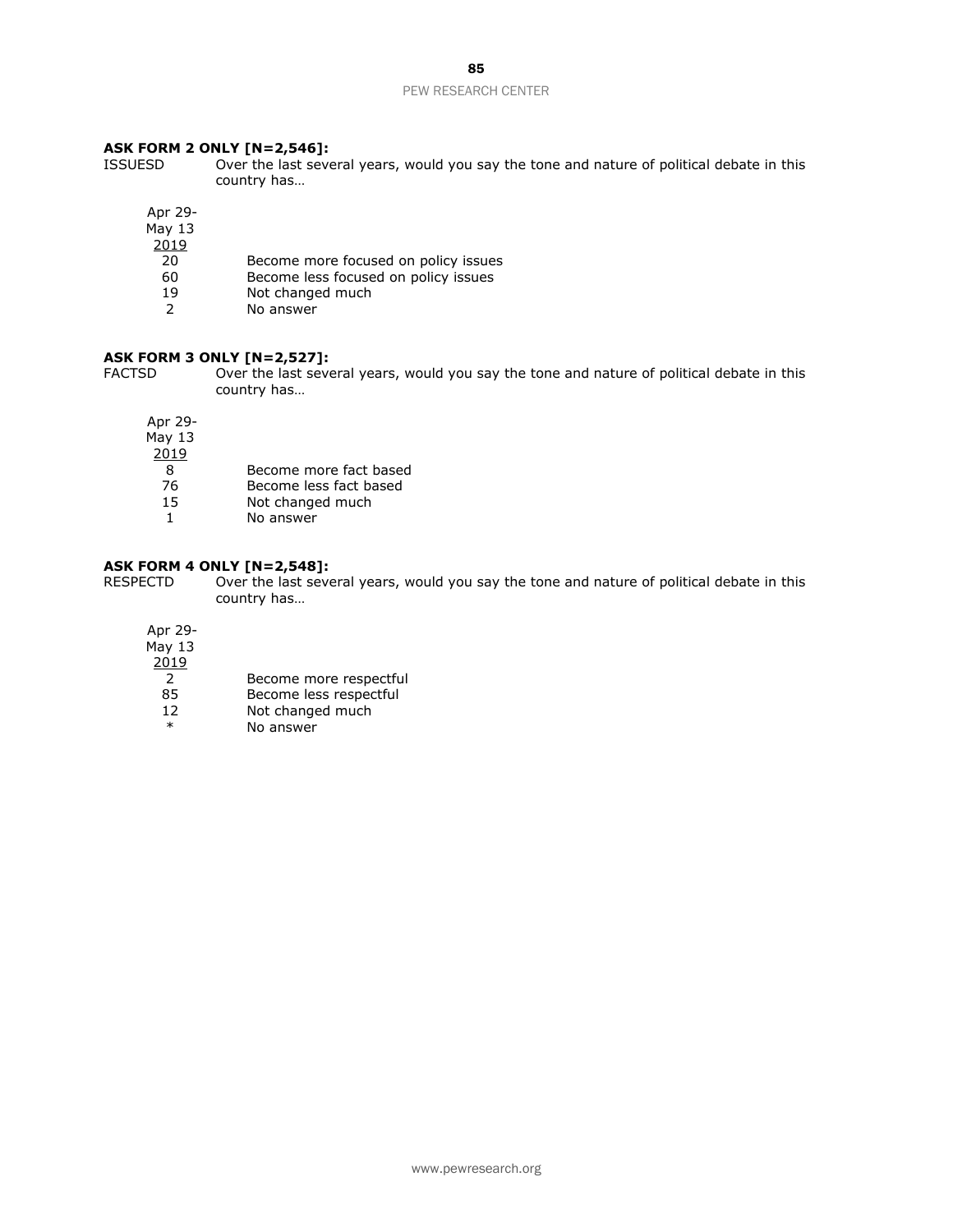85

#### PEW RESEARCH CENTER

#### **ASK FORM 2 ONLY [N=2,546]:**

- ISSUESD Over the last several years, would you say the tone and nature of political debate in this country has…
	- Apr 29-
	- May 13
	- $\frac{2019}{20}$ 
		- Become more focused on policy issues
	- 60 Become less focused on policy issues<br>19 Not changed much
	- 19 Not changed much<br>2 No answer
	- No answer

#### **ASK FORM 3 ONLY [N=2,527]:**

FACTSD Over the last several years, would you say the tone and nature of political debate in this country has…

Apr 29-

- May 13
- $\frac{2019}{8}$ 
	- 8 Become more fact based
	- 76 Become less fact based
- 15 Not changed much
- 1 No answer

#### **ASK FORM 4 ONLY [N=2,548]:**

RESPECTD Over the last several years, would you say the tone and nature of political debate in this country has…

Apr 29-  $M$ ay 13  $\frac{2019}{2}$ Become more respectful 85 Become less respectful

- 12 Not changed much
- \* No answer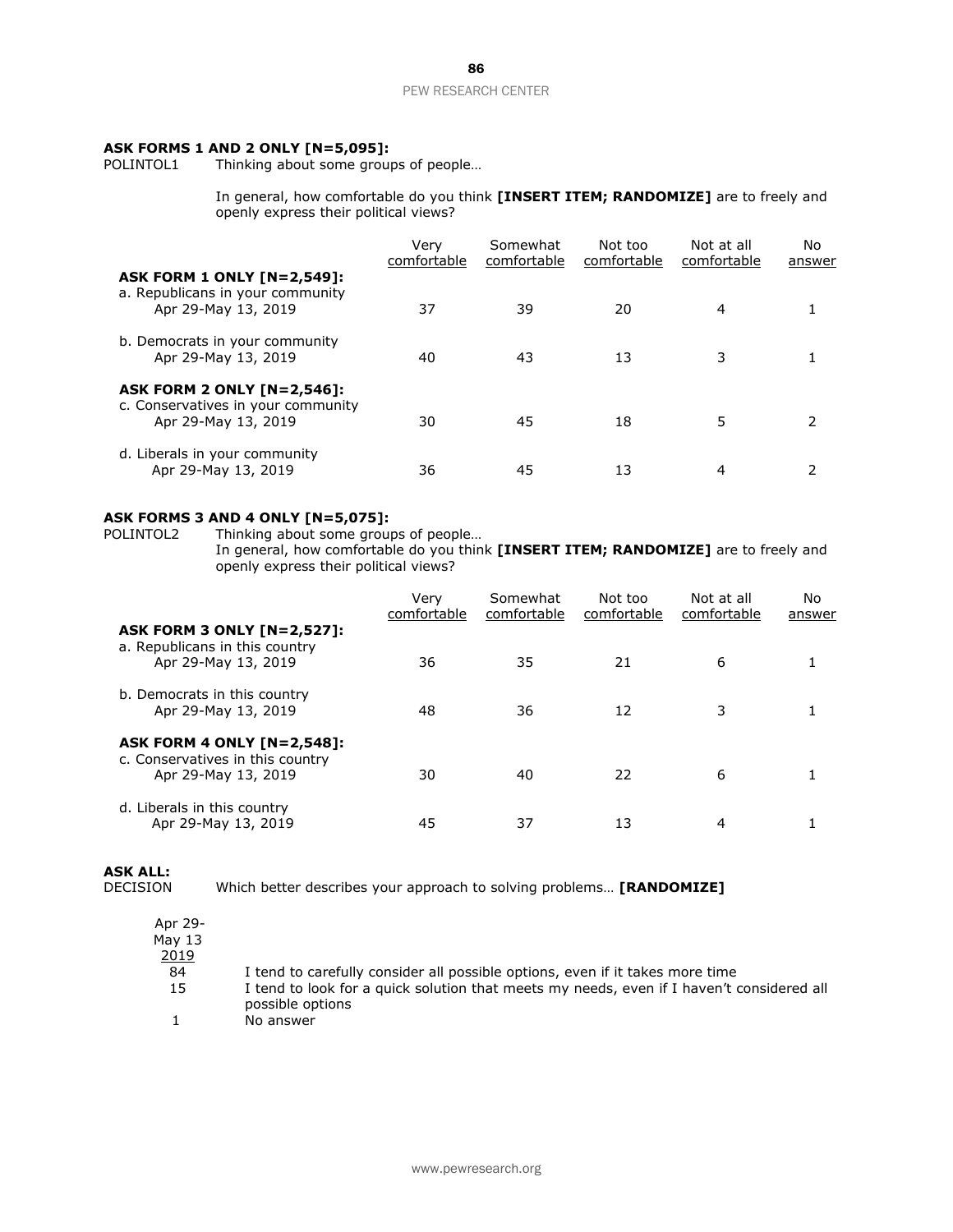# **ASK FORMS 1 AND 2 ONLY [N=5,095]:**<br>POLINTOL1 Thinking about some group

Thinking about some groups of people...

In general, how comfortable do you think **[INSERT ITEM; RANDOMIZE]** are to freely and openly express their political views?

|                                                                                              | Verv<br>comfortable | Somewhat<br>comfortable | Not too<br>comfortable | Not at all<br>comfortable | No.<br>answer |
|----------------------------------------------------------------------------------------------|---------------------|-------------------------|------------------------|---------------------------|---------------|
| <b>ASK FORM 1 ONLY [N=2,549]:</b><br>a. Republicans in your community<br>Apr 29-May 13, 2019 | 37                  | 39                      | 20                     | 4                         |               |
| b. Democrats in your community<br>Apr 29-May 13, 2019                                        | 40                  | 43                      | 13                     | 3                         |               |
| ASK FORM 2 ONLY [N=2,546]:<br>c. Conservatives in your community<br>Apr 29-May 13, 2019      | 30                  | 45                      | 18                     | 5                         |               |
| d. Liberals in your community<br>Apr 29-May 13, 2019                                         | 36                  | 45                      | 13                     | 4                         |               |

# **ASK FORMS 3 AND 4 ONLY [N=5,075]:**<br>POLINTOL2 Thinking about some group

POLINTOL2 Thinking about some groups of people…

In general, how comfortable do you think **[INSERT ITEM; RANDOMIZE]** are to freely and openly express their political views?

|                                                                                              | Verv<br>comfortable | Somewhat<br>comfortable | Not too<br>comfortable | Not at all<br>comfortable | No<br>answer |
|----------------------------------------------------------------------------------------------|---------------------|-------------------------|------------------------|---------------------------|--------------|
| <b>ASK FORM 3 ONLY [N=2,527]:</b><br>a. Republicans in this country<br>Apr 29-May 13, 2019   | 36                  | 35                      | 21                     | 6                         |              |
| b. Democrats in this country<br>Apr 29-May 13, 2019                                          | 48                  | 36                      | 12                     | 3                         |              |
| <b>ASK FORM 4 ONLY [N=2,548]:</b><br>c. Conservatives in this country<br>Apr 29-May 13, 2019 | 30                  | 40                      | 22                     | 6                         |              |
| d. Liberals in this country<br>Apr 29-May 13, 2019                                           | 45                  | 37                      | 13                     | 4                         |              |

**ASK ALL:**

DECISION Which better describes your approach to solving problems… **[RANDOMIZE]**

| Apr 29-<br>May 13 |                                                                                                               |
|-------------------|---------------------------------------------------------------------------------------------------------------|
| <u> 2019</u>      |                                                                                                               |
| 84                | I tend to carefully consider all possible options, even if it takes more time                                 |
| 15                | I tend to look for a quick solution that meets my needs, even if I haven't considered all<br>possible options |
|                   | No answer                                                                                                     |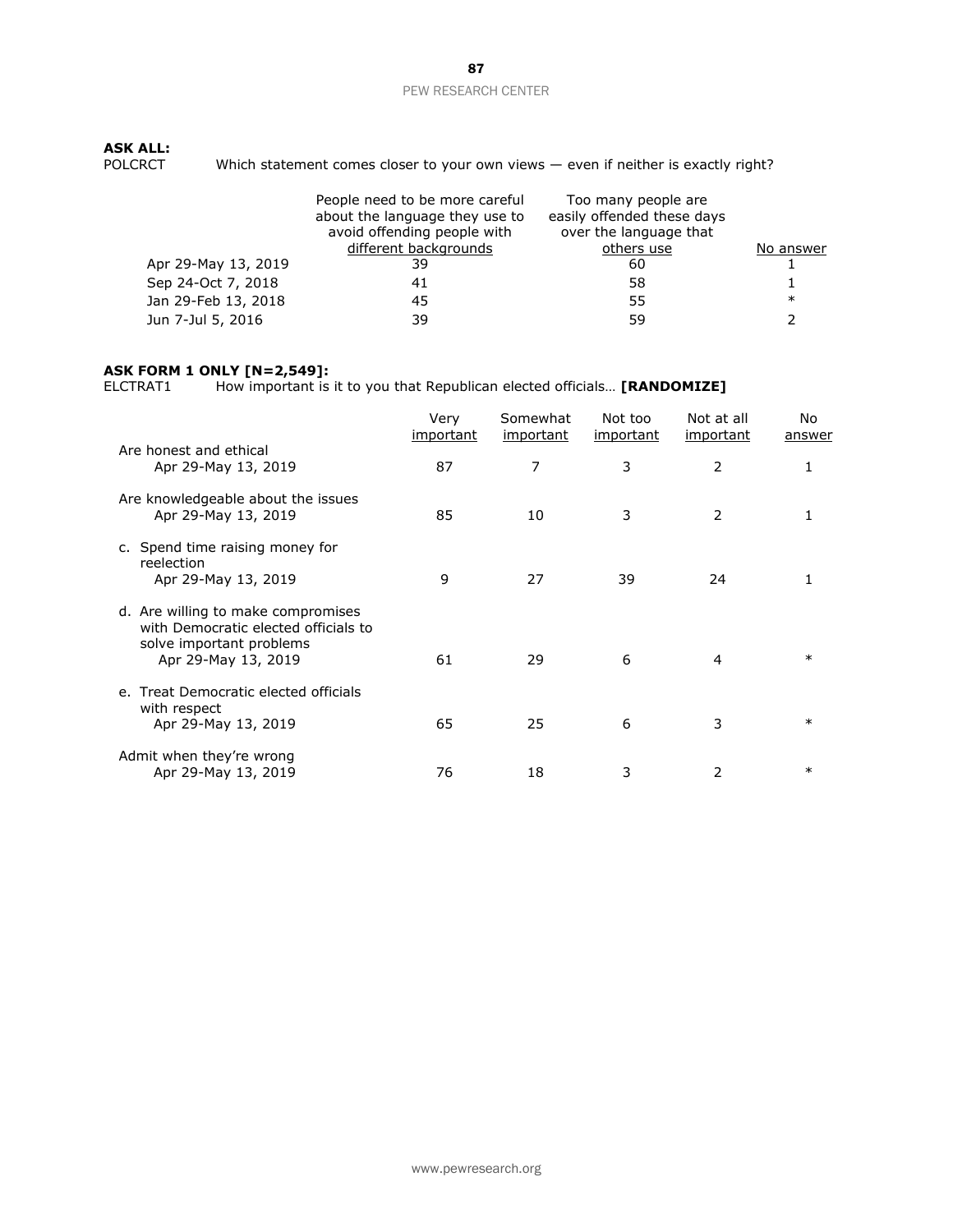# **ASK ALL:**<br>POLCRCT

Which statement comes closer to your own views  $-$  even if neither is exactly right?

|                     | People need to be more careful<br>about the language they use to<br>avoid offending people with<br>different backgrounds | Too many people are<br>easily offended these days<br>over the language that<br>others use | No answer |
|---------------------|--------------------------------------------------------------------------------------------------------------------------|-------------------------------------------------------------------------------------------|-----------|
| Apr 29-May 13, 2019 | 39                                                                                                                       | 60                                                                                        |           |
| Sep 24-Oct 7, 2018  | 41                                                                                                                       | 58                                                                                        |           |
| Jan 29-Feb 13, 2018 | 45                                                                                                                       | 55                                                                                        | $\ast$    |
| Jun 7-Jul 5, 2016   | 39                                                                                                                       | 59                                                                                        |           |

# **ASK FORM 1 ONLY [N=2,549]:**<br>ELCTRAT1 How important is

How important is it to you that Republican elected officials... **[RANDOMIZE]** 

|                                                                                                                               | Very<br><u>important</u> | Somewhat<br>important | Not too<br><i>important</i> | Not at all<br><i>important</i> | No.<br>answer |
|-------------------------------------------------------------------------------------------------------------------------------|--------------------------|-----------------------|-----------------------------|--------------------------------|---------------|
| Are honest and ethical<br>Apr 29-May 13, 2019                                                                                 | 87                       | 7                     | 3                           | 2                              |               |
| Are knowledgeable about the issues<br>Apr 29-May 13, 2019                                                                     | 85                       | 10                    | 3                           | 2                              |               |
| c. Spend time raising money for<br>reelection<br>Apr 29-May 13, 2019                                                          | 9                        | 27                    | 39                          | 24                             |               |
| d. Are willing to make compromises<br>with Democratic elected officials to<br>solve important problems<br>Apr 29-May 13, 2019 | 61                       | 29                    | 6                           | 4                              | $\ast$        |
| e. Treat Democratic elected officials<br>with respect<br>Apr 29-May 13, 2019                                                  | 65                       | 25                    | 6                           | 3                              | $\ast$        |
| Admit when they're wrong<br>Apr 29-May 13, 2019                                                                               | 76                       | 18                    | 3                           | $\mathcal{P}$                  | $\ast$        |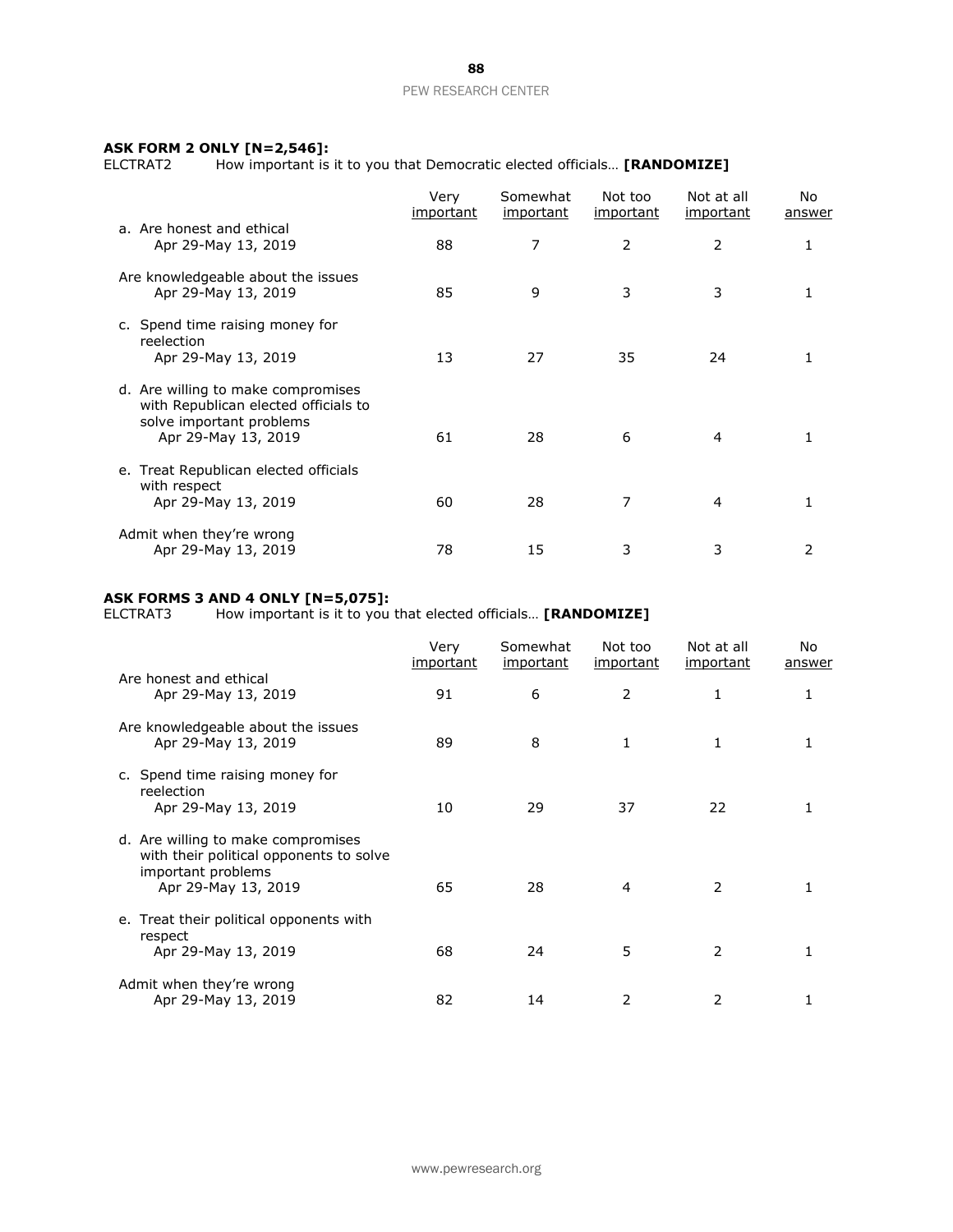# **ASK FORM 2 ONLY [N=2,546]:**<br>ELCTRAT2 How important is

How important is it to you that Democratic elected officials... **[RANDOMIZE]** 

|                                                                                                                               | Very<br><u>important</u> | Somewhat<br>important | Not too<br><u>important</u> | Not at all<br><u>important</u> | No.<br>answer |
|-------------------------------------------------------------------------------------------------------------------------------|--------------------------|-----------------------|-----------------------------|--------------------------------|---------------|
| a. Are honest and ethical<br>Apr 29-May 13, 2019                                                                              | 88                       | 7                     | 2                           | 2                              |               |
| Are knowledgeable about the issues<br>Apr 29-May 13, 2019                                                                     | 85                       | 9                     | 3                           | 3                              |               |
| c. Spend time raising money for<br>reelection<br>Apr 29-May 13, 2019                                                          | 13                       | 27                    | 35                          | 24                             |               |
| d. Are willing to make compromises<br>with Republican elected officials to<br>solve important problems<br>Apr 29-May 13, 2019 | 61                       | 28                    | 6                           | 4                              |               |
| e. Treat Republican elected officials<br>with respect<br>Apr 29-May 13, 2019                                                  | 60                       | 28                    | 7                           | 4                              |               |
| Admit when they're wrong<br>Apr 29-May 13, 2019                                                                               | 78                       | 15                    | 3                           | 3                              |               |

# **ASK FORMS 3 AND 4 ONLY [N=5,075]:**

ELCTRAT3 How important is it to you that elected officials… **[RANDOMIZE]**

|                                                                                                                            | Very<br><u>important</u> | Somewhat<br>important | Not too<br>important | Not at all<br><i>important</i> | No.<br><u>answer</u> |
|----------------------------------------------------------------------------------------------------------------------------|--------------------------|-----------------------|----------------------|--------------------------------|----------------------|
| Are honest and ethical<br>Apr 29-May 13, 2019                                                                              | 91                       | 6                     | 2                    | 1                              |                      |
| Are knowledgeable about the issues<br>Apr 29-May 13, 2019                                                                  | 89                       | 8                     | 1                    | 1                              |                      |
| c. Spend time raising money for<br>reelection<br>Apr 29-May 13, 2019                                                       | 10                       | 29                    | 37                   | 22                             |                      |
| d. Are willing to make compromises<br>with their political opponents to solve<br>important problems<br>Apr 29-May 13, 2019 | 65                       | 28                    | 4                    | 2                              |                      |
| e. Treat their political opponents with<br>respect<br>Apr 29-May 13, 2019                                                  | 68                       | 24                    | 5                    | 2                              |                      |
| Admit when they're wrong<br>Apr 29-May 13, 2019                                                                            | 82                       | 14                    | 2                    | 2                              |                      |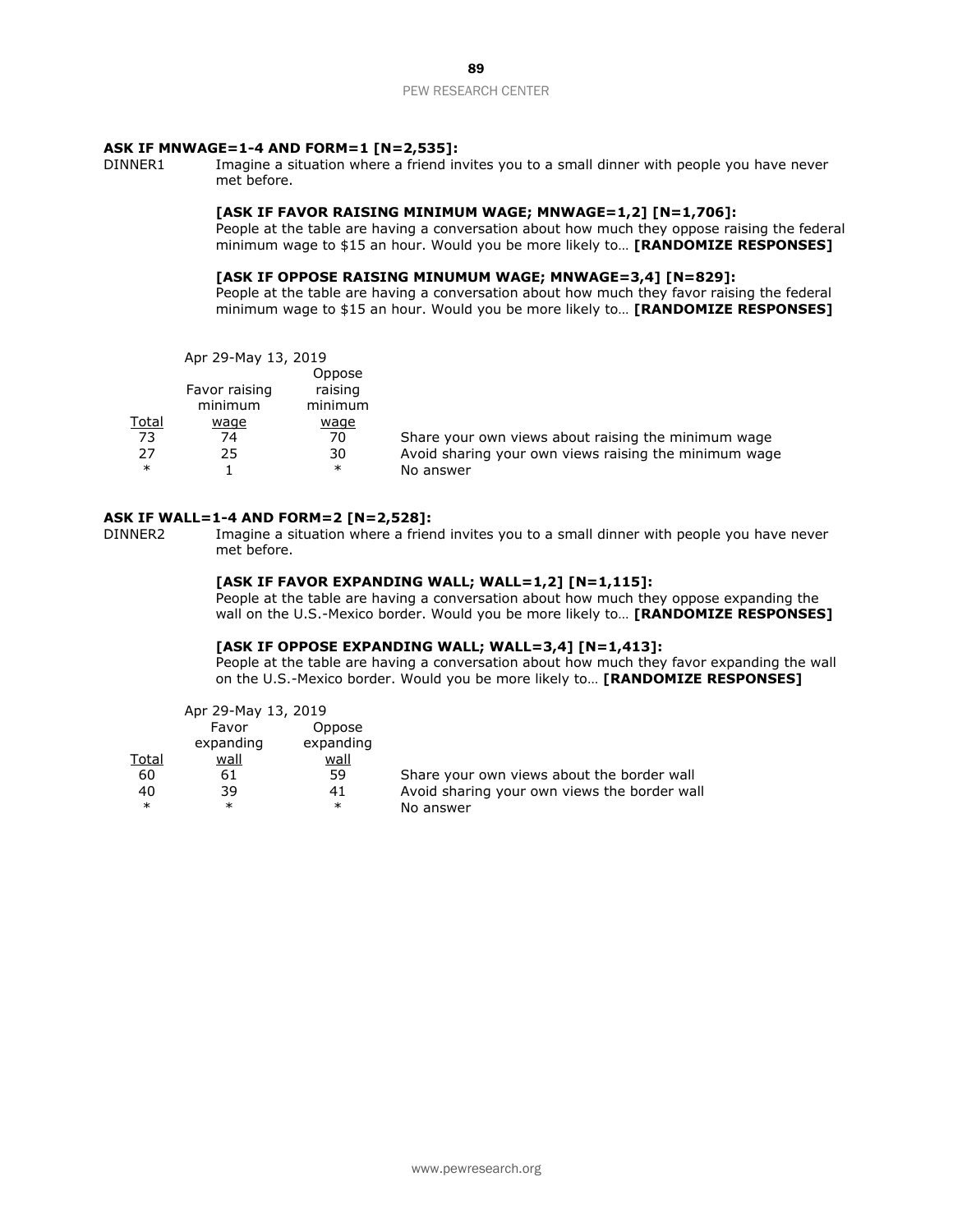#### **ASK IF MNWAGE=1-4 AND FORM=1 [N=2,535]:**

DINNER1 Imagine a situation where a friend invites you to a small dinner with people you have never met before.

# **[ASK IF FAVOR RAISING MINIMUM WAGE; MNWAGE=1,2] [N=1,706]:**

People at the table are having a conversation about how much they oppose raising the federal minimum wage to \$15 an hour. Would you be more likely to… **[RANDOMIZE RESPONSES]**

### **[ASK IF OPPOSE RAISING MINUMUM WAGE; MNWAGE=3,4] [N=829]:**

People at the table are having a conversation about how much they favor raising the federal minimum wage to \$15 an hour. Would you be more likely to… **[RANDOMIZE RESPONSES]**

Apr 29-May 13, 2019

|              | $1.01$ 23 $1.07$ 23, 2013 |             |                                                       |
|--------------|---------------------------|-------------|-------------------------------------------------------|
|              |                           | Oppose      |                                                       |
|              | Favor raising             | raising     |                                                       |
|              | minimum                   | minimum     |                                                       |
| <u>Total</u> | wage                      | <u>waqe</u> |                                                       |
| 73           | 74                        | 70          | Share your own views about raising the minimum wage   |
| 27           | 25                        | 30          | Avoid sharing your own views raising the minimum wage |
| $\ast$       |                           | $\ast$      | No answer                                             |

#### **ASK IF WALL=1-4 AND FORM=2 [N=2,528]:**

DINNER2 Imagine a situation where a friend invites you to a small dinner with people you have never met before.

#### **[ASK IF FAVOR EXPANDING WALL; WALL=1,2] [N=1,115]:**

People at the table are having a conversation about how much they oppose expanding the wall on the U.S.-Mexico border. Would you be more likely to… **[RANDOMIZE RESPONSES]**

### **[ASK IF OPPOSE EXPANDING WALL; WALL=3,4] [N=1,413]:**

People at the table are having a conversation about how much they favor expanding the wall on the U.S.-Mexico border. Would you be more likely to… **[RANDOMIZE RESPONSES]**

| Apr 29-May 13, 2019 |           |             |                                            |
|---------------------|-----------|-------------|--------------------------------------------|
|                     | Favor     | Oppose      |                                            |
|                     | expanding | expanding   |                                            |
| Total               | wall      | <u>wall</u> |                                            |
| 60                  | 61        | 59          | Share your own views about the border wall |
|                     |           |             |                                            |

40 39 41 Avoid sharing your own views the border wall

No answer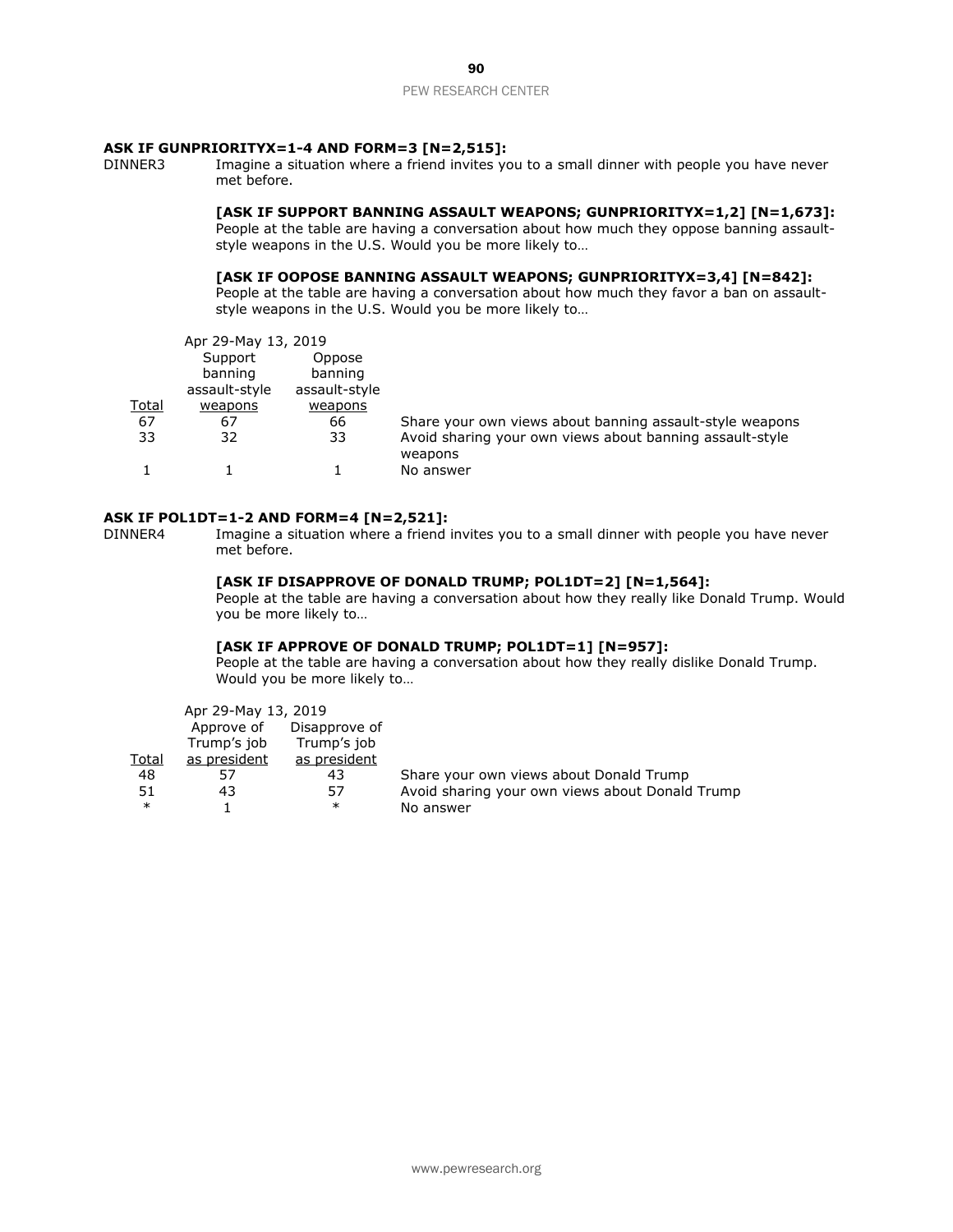#### **ASK IF GUNPRIORITYX=1-4 AND FORM=3 [N=2,515]:**

DINNER3 Imagine a situation where a friend invites you to a small dinner with people you have never met before.

#### **[ASK IF SUPPORT BANNING ASSAULT WEAPONS; GUNPRIORITYX=1,2] [N=1,673]:**

People at the table are having a conversation about how much they oppose banning assaultstyle weapons in the U.S. Would you be more likely to…

# **[ASK IF OOPOSE BANNING ASSAULT WEAPONS; GUNPRIORITYX=3,4] [N=842]:**

People at the table are having a conversation about how much they favor a ban on assaultstyle weapons in the U.S. Would you be more likely to…

|       | Apr 29-May 13, 2019 |               |                                                                     |
|-------|---------------------|---------------|---------------------------------------------------------------------|
|       | Support             | Oppose        |                                                                     |
|       | banning             | banning       |                                                                     |
|       | assault-style       | assault-style |                                                                     |
| Total | weapons             | weapons       |                                                                     |
| 67    | 67                  | 66            | Share your own views about banning assault-style weapons            |
| 33    | 32                  | 33            | Avoid sharing your own views about banning assault-style<br>weapons |
|       |                     |               | No answer                                                           |

#### **ASK IF POL1DT=1-2 AND FORM=4 [N=2,521]:**

DINNER4 Imagine a situation where a friend invites you to a small dinner with people you have never met before.

# **[ASK IF DISAPPROVE OF DONALD TRUMP; POL1DT=2] [N=1,564]:**

People at the table are having a conversation about how they really like Donald Trump. Would you be more likely to…

### **[ASK IF APPROVE OF DONALD TRUMP; POL1DT=1] [N=957]:**

People at the table are having a conversation about how they really dislike Donald Trump. Would you be more likely to…

|              | Apr 29-May 13, 2019 |               |                                                 |
|--------------|---------------------|---------------|-------------------------------------------------|
|              | Approve of          | Disapprove of |                                                 |
|              | Trump's job         | Trump's job   |                                                 |
| <b>Total</b> | as president        | as president  |                                                 |
| 48           | 57                  | 43            | Share your own views about Donald Trump         |
| 51           | 43                  | 57            | Avoid sharing your own views about Donald Trump |
| $\ast$       |                     | $\ast$        | No answer                                       |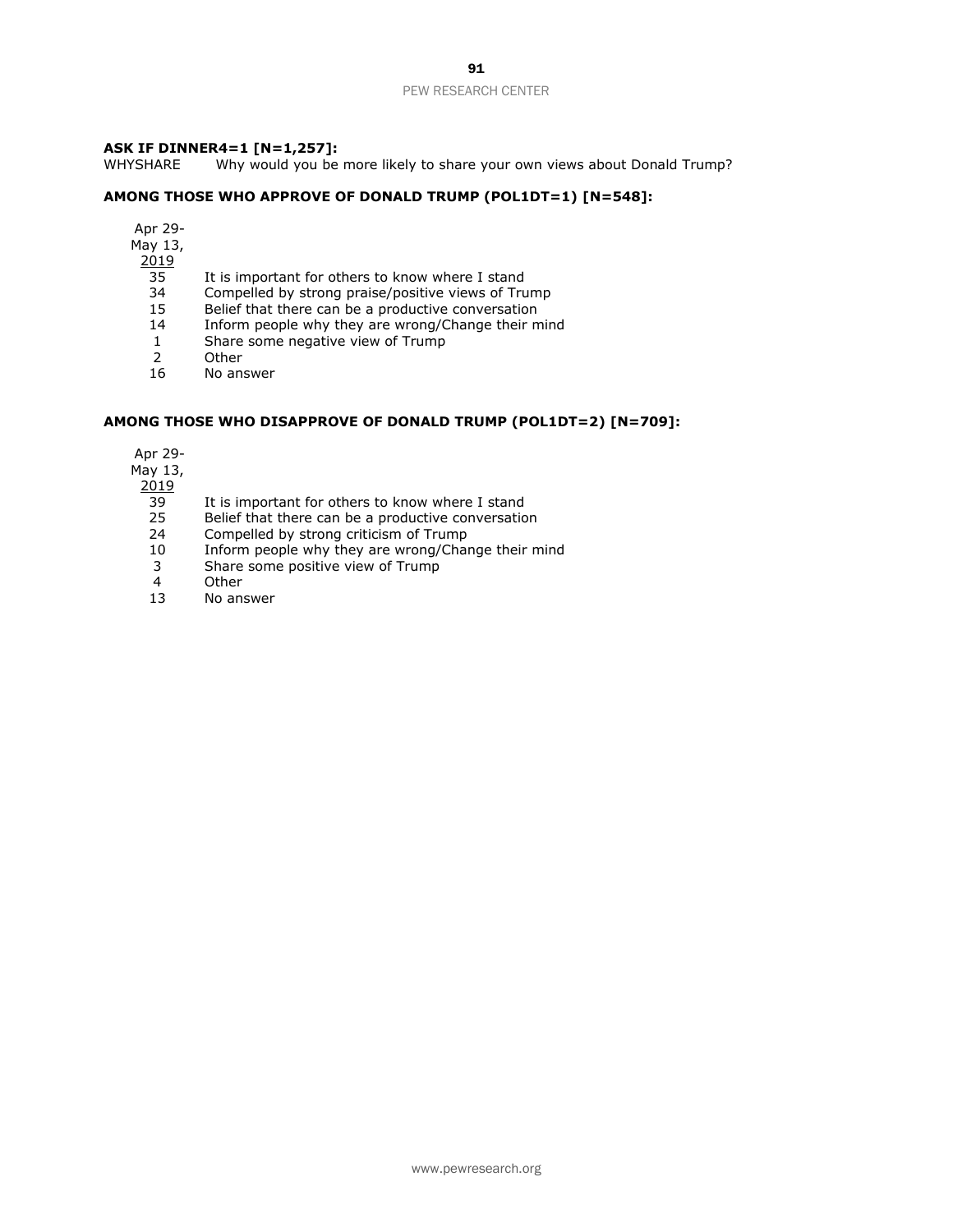# **ASK IF DINNER4=1 [N=1,257]:**

WHYSHARE Why would you be more likely to share your own views about Donald Trump?

#### **AMONG THOSE WHO APPROVE OF DONALD TRUMP (POL1DT=1) [N=548]:**

- Apr 29-
- May 13,

2019

- 35 It is important for others to know where I stand<br>34 Compelled by strong praise/positive views of Tru
- 34 Compelled by strong praise/positive views of Trump<br>15 Belief that there can be a productive conversation
- 15 Belief that there can be a productive conversation<br>14 Inform people why they are wrong/Change their m
- Inform people why they are wrong/Change their mind
- 1 Share some negative view of Trump
- 2 Other
- 16 No answer

#### **AMONG THOSE WHO DISAPPROVE OF DONALD TRUMP (POL1DT=2) [N=709]:**

Apr 29-

May 13,

2019

- 39 It is important for others to know where I stand
- 25 Belief that there can be a productive conversation
- 24 Compelled by strong criticism of Trump
- 10 Inform people why they are wrong/Change their mind
- 3 Share some positive view of Trump
- 4 Other<br>13 No ans
- No answer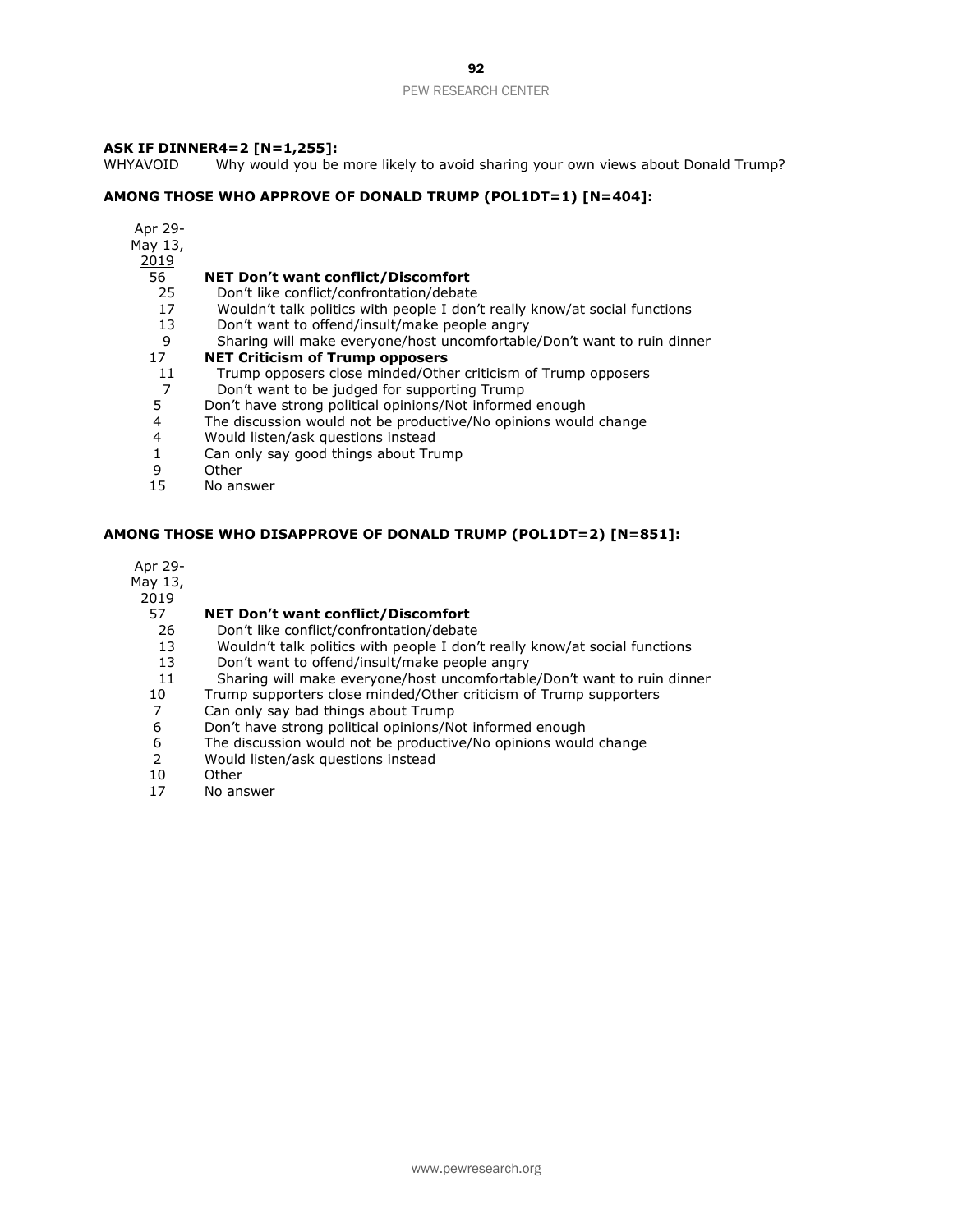# **ASK IF DINNER4=2 [N=1,255]:**

WHYAVOID Why would you be more likely to avoid sharing your own views about Donald Trump?

## **AMONG THOSE WHO APPROVE OF DONALD TRUMP (POL1DT=1) [N=404]:**

- Apr 29-
- May 13,
- - **NET Don't want conflict/Discomfort**
	- Don't like conflict/confrontation/debate
	- Wouldn't talk politics with people I don't really know/at social functions
	- Don't want to offend/insult/make people angry
	- Sharing will make everyone/host uncomfortable/Don't want to ruin dinner

#### **NET Criticism of Trump opposers**

- Trump opposers close minded/Other criticism of Trump opposers
- Don't want to be judged for supporting Trump
- Don't have strong political opinions/Not informed enough
- 4 The discussion would not be productive/No opinions would change<br>4 Would listen/ask questions instead
- 4 Would listen/ask questions instead<br>1 Can only say good things about Tru
- 1 Can only say good things about Trump<br>9 Other
- Other
- No answer

# **AMONG THOSE WHO DISAPPROVE OF DONALD TRUMP (POL1DT=2) [N=851]:**

Apr 29-

- May 13,
- 

### **NET Don't want conflict/Discomfort**

- Don't like conflict/confrontation/debate
- Wouldn't talk politics with people I don't really know/at social functions
- Don't want to offend/insult/make people angry
- Sharing will make everyone/host uncomfortable/Don't want to ruin dinner
- Trump supporters close minded/Other criticism of Trump supporters
- Can only say bad things about Trump
- Don't have strong political opinions/Not informed enough
- The discussion would not be productive/No opinions would change
- Would listen/ask questions instead
- Other
- No answer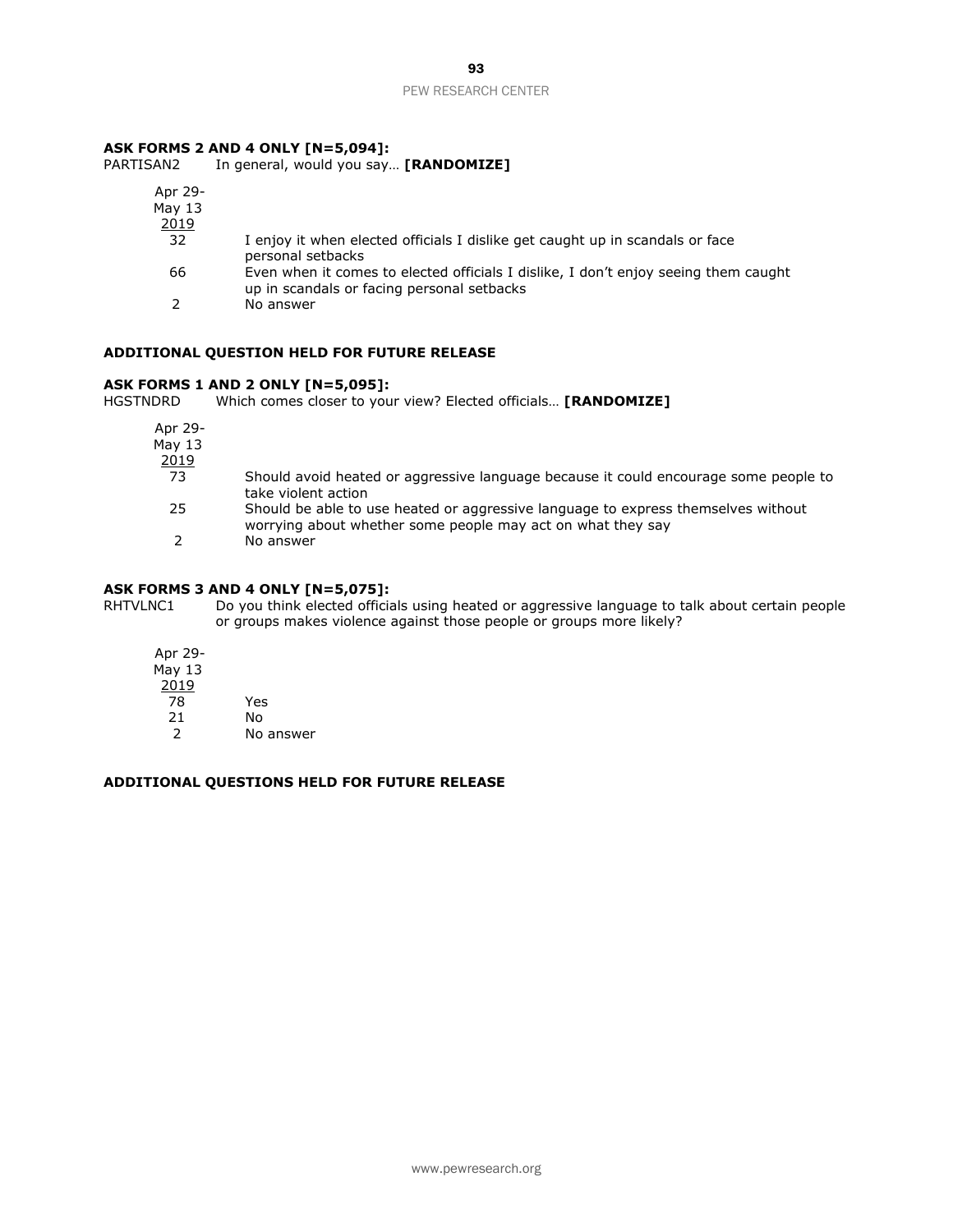# **ASK FORMS 2 AND 4 ONLY [N=5,094]:**

PARTISAN2 In general, would you say… **[RANDOMIZE]**

| Apr 29-<br>May $13$ |                                                                                                                                   |
|---------------------|-----------------------------------------------------------------------------------------------------------------------------------|
| 2019                |                                                                                                                                   |
| 32                  | I enjoy it when elected officials I dislike get caught up in scandals or face<br>personal setbacks                                |
| 66                  | Even when it comes to elected officials I dislike, I don't enjoy seeing them caught<br>up in scandals or facing personal setbacks |
|                     | No answer                                                                                                                         |

### **ADDITIONAL QUESTION HELD FOR FUTURE RELEASE**

# **ASK FORMS 1 AND 2 ONLY [N=5,095]:**

Which comes closer to your view? Elected officials... **[RANDOMIZE]** 

| Apr 29-<br>May $13$<br><u> 2019</u> |                                                                                                                                                  |
|-------------------------------------|--------------------------------------------------------------------------------------------------------------------------------------------------|
| 73                                  | Should avoid heated or aggressive language because it could encourage some people to<br>take violent action                                      |
| 25                                  | Should be able to use heated or aggressive language to express themselves without<br>worrying about whether some people may act on what they say |
|                                     | No answer                                                                                                                                        |

# **ASK FORMS 3 AND 4 ONLY [N=5,075]:**

RHTVLNC1 Do you think elected officials using heated or aggressive language to talk about certain people or groups makes violence against those people or groups more likely?

| Apr 29- |           |
|---------|-----------|
| May 13  |           |
| 2019    |           |
| 78      | Yes       |
| 21      | No        |
| 2       | No answer |

# **ADDITIONAL QUESTIONS HELD FOR FUTURE RELEASE**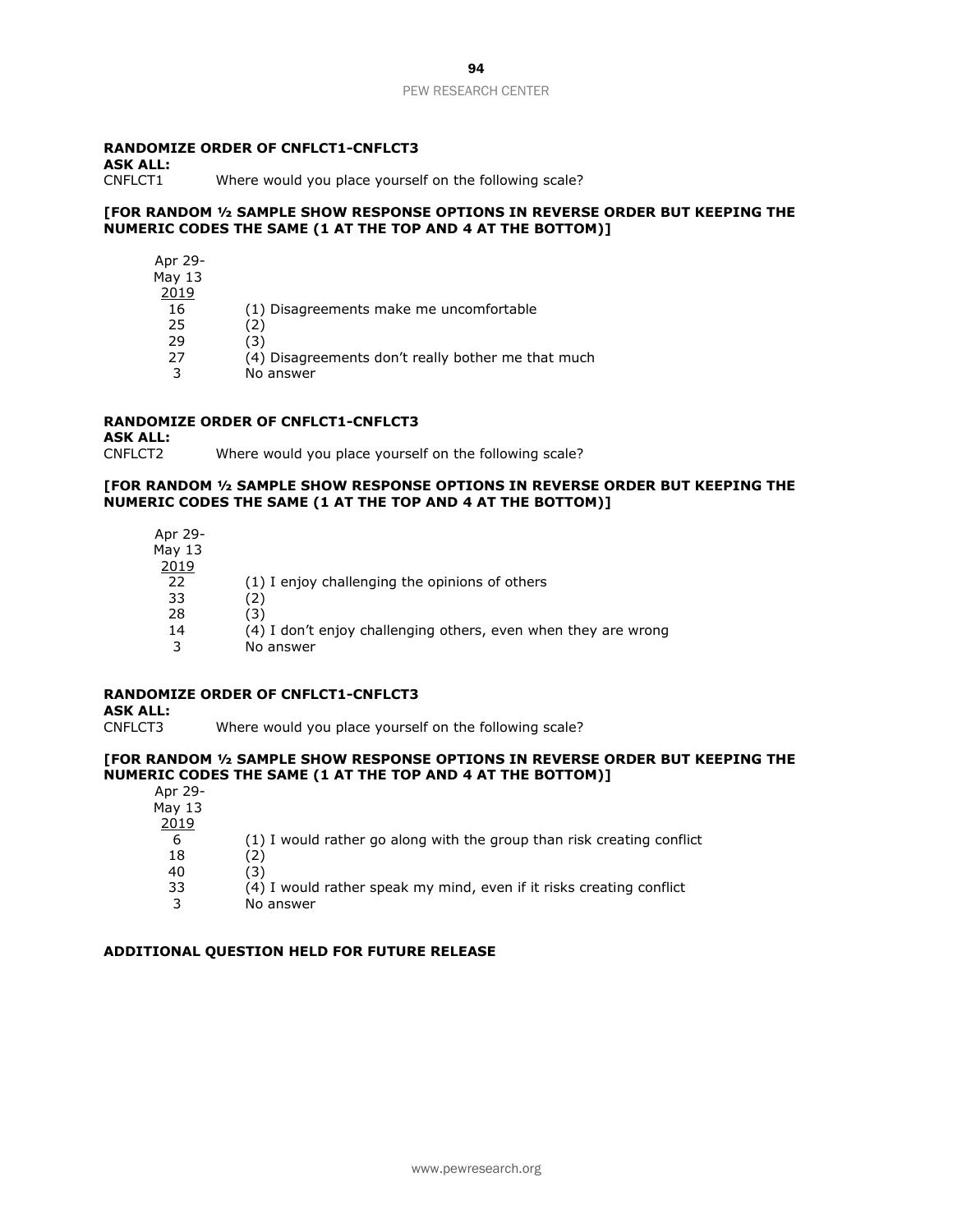### **RANDOMIZE ORDER OF CNFLCT1-CNFLCT3**

**ASK ALL:** 

Where would you place yourself on the following scale?

#### **[FOR RANDOM ½ SAMPLE SHOW RESPONSE OPTIONS IN REVERSE ORDER BUT KEEPING THE NUMERIC CODES THE SAME (1 AT THE TOP AND 4 AT THE BOTTOM)]**

| Apr 29-  |                                                    |
|----------|----------------------------------------------------|
| May $13$ |                                                    |
| 2019     |                                                    |
| 16       | (1) Disagreements make me uncomfortable            |
| 25       | '2١                                                |
| 29       | (3)                                                |
| 27       | (4) Disagreements don't really bother me that much |
| 3        | No answer                                          |

# **RANDOMIZE ORDER OF CNFLCT1-CNFLCT3**

**ASK ALL:** Where would you place yourself on the following scale?

### **[FOR RANDOM ½ SAMPLE SHOW RESPONSE OPTIONS IN REVERSE ORDER BUT KEEPING THE NUMERIC CODES THE SAME (1 AT THE TOP AND 4 AT THE BOTTOM)]**

| Apr 29-<br>May $13$<br>2019 |                                                                |
|-----------------------------|----------------------------------------------------------------|
| 22                          | (1) I enjoy challenging the opinions of others                 |
| 33                          | 2)                                                             |
| 28                          | (3)                                                            |
| 14                          | (4) I don't enjoy challenging others, even when they are wrong |
|                             | No answer                                                      |

## **RANDOMIZE ORDER OF CNFLCT1-CNFLCT3**

**ASK ALL:**

CNFLCT3 Where would you place yourself on the following scale?

### **[FOR RANDOM ½ SAMPLE SHOW RESPONSE OPTIONS IN REVERSE ORDER BUT KEEPING THE NUMERIC CODES THE SAME (1 AT THE TOP AND 4 AT THE BOTTOM)]**

| Apr 29-  |                                                                        |
|----------|------------------------------------------------------------------------|
| May $13$ |                                                                        |
| 2019     |                                                                        |
| 6        | (1) I would rather go along with the group than risk creating conflict |
| 18       | (2                                                                     |
| 40       | (3)                                                                    |
| 33       | (4) I would rather speak my mind, even if it risks creating conflict   |
|          | No answer                                                              |

### **ADDITIONAL QUESTION HELD FOR FUTURE RELEASE**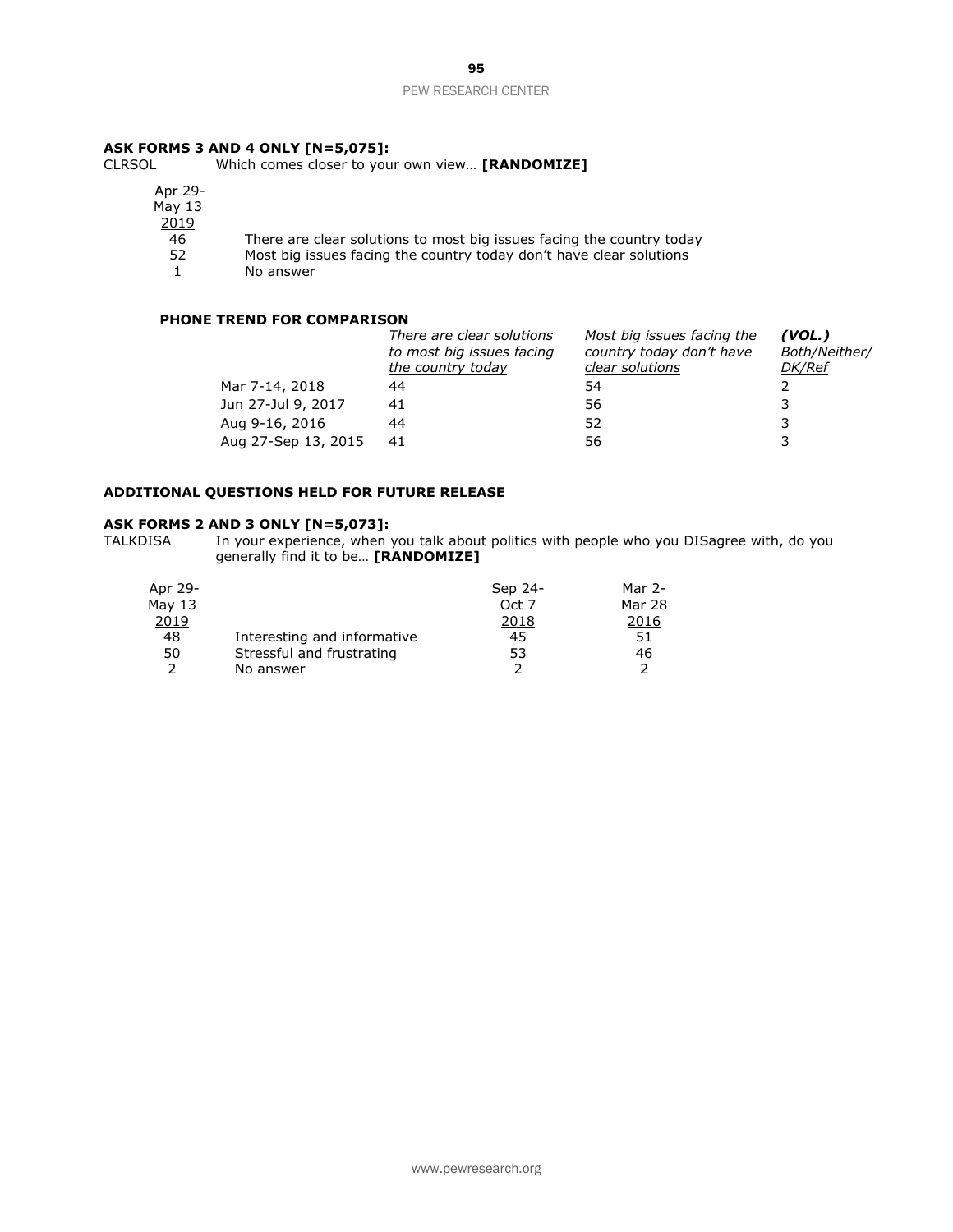# **ASK FORMS 3 AND 4 ONLY [N=5,075]:**<br>CLRSOL Which comes closer to you

Which comes closer to your own view... **[RANDOMIZE]** 

Apr 29- May 13  $\frac{2019}{46}$ 

46 There are clear solutions to most big issues facing the country today<br>52 Most big issues facing the country today don't have clear solutions

Most big issues facing the country today don't have clear solutions

1 No answer

# **PHONE TREND FOR COMPARISON**

|                     | There are clear solutions<br>to most big issues facing<br>the country today | Most big issues facing the<br>country today don't have<br>clear solutions | (VOL.)<br>Both/Neither/<br>DK/Ref |
|---------------------|-----------------------------------------------------------------------------|---------------------------------------------------------------------------|-----------------------------------|
| Mar 7-14, 2018      | 44                                                                          | 54                                                                        |                                   |
| Jun 27-Jul 9, 2017  | 41                                                                          | 56                                                                        |                                   |
| Aug 9-16, 2016      | 44                                                                          | 52                                                                        |                                   |
| Aug 27-Sep 13, 2015 | 41                                                                          | 56                                                                        |                                   |

# **ADDITIONAL QUESTIONS HELD FOR FUTURE RELEASE**

### **ASK FORMS 2 AND 3 ONLY [N=5,073]:**

TALKDISA In your experience, when you talk about politics with people who you DISagree with, do you generally find it to be… **[RANDOMIZE]**

| Apr 29-  |                             | Sep 24- | Mar $2-$ |
|----------|-----------------------------|---------|----------|
| May $13$ |                             | Oct 7   | Mar 28   |
| 2019     |                             | 2018    | 2016     |
| 48       | Interesting and informative | 45      | 51       |
| 50       | Stressful and frustrating   | 53      | 46       |
|          | No answer                   |         |          |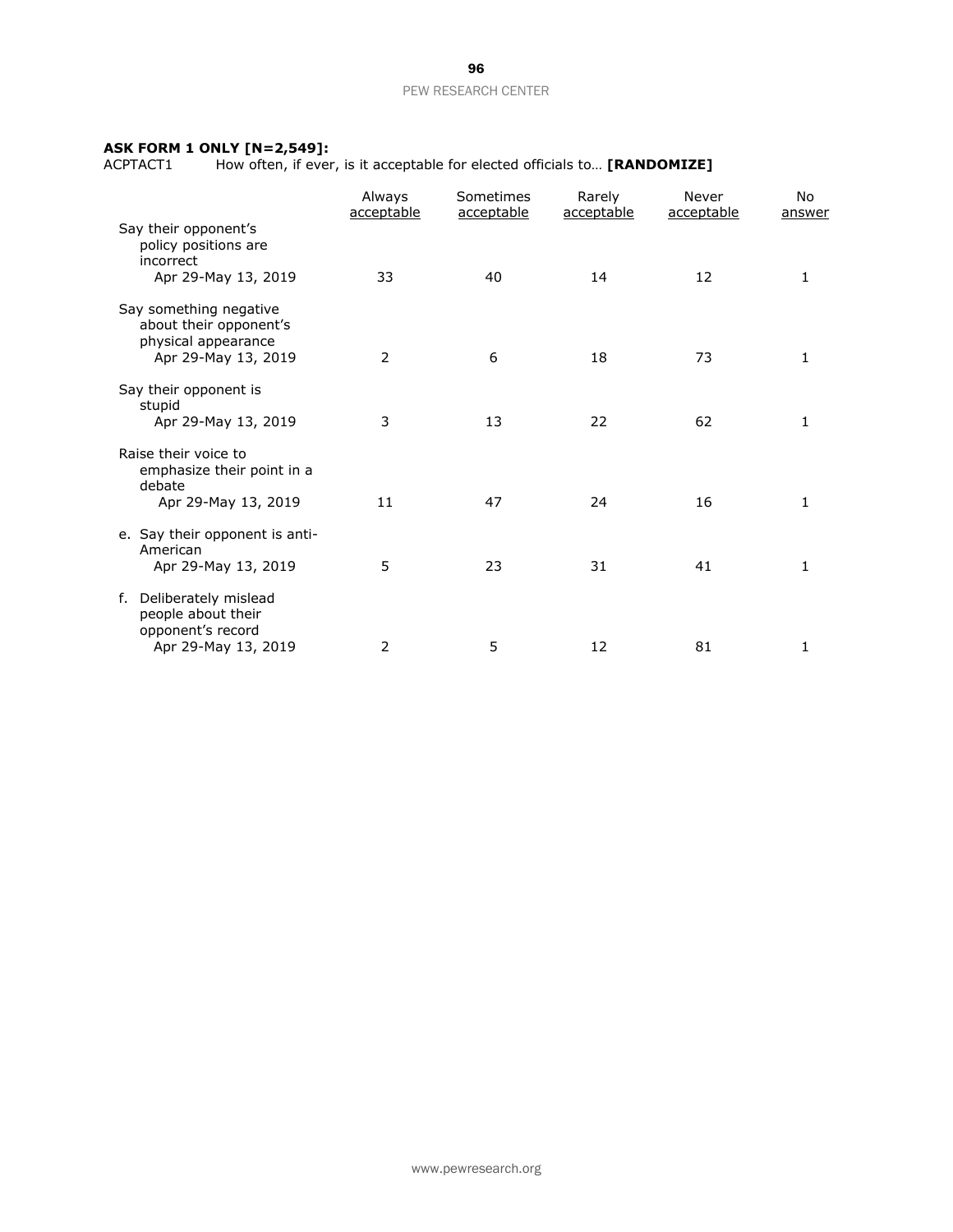#### **ASK FORM 1 ONLY [N=2,549]:**

ACPTACT1 How often, if ever, is it acceptable for elected officials to… **[RANDOMIZE]**

|                                                                                  | Always<br>acceptable | Sometimes<br>acceptable | Rarely<br>acceptable | Never<br>acceptable | No.<br>answer |
|----------------------------------------------------------------------------------|----------------------|-------------------------|----------------------|---------------------|---------------|
| Say their opponent's<br>policy positions are<br>incorrect<br>Apr 29-May 13, 2019 | 33                   | 40                      | 14                   | 12                  | 1             |
| Say something negative<br>about their opponent's<br>physical appearance          |                      |                         |                      |                     |               |
| Apr 29-May 13, 2019                                                              | 2                    | 6                       | 18                   | 73                  | 1             |
| Say their opponent is<br>stupid                                                  |                      |                         |                      |                     |               |
| Apr 29-May 13, 2019                                                              | 3                    | 13                      | 22                   | 62                  | 1             |
| Raise their voice to<br>emphasize their point in a<br>debate                     |                      |                         |                      |                     |               |
| Apr 29-May 13, 2019                                                              | 11                   | 47                      | 24                   | 16                  | 1             |
| e. Say their opponent is anti-<br>American                                       |                      |                         |                      |                     |               |
| Apr 29-May 13, 2019                                                              | 5                    | 23                      | 31                   | 41                  | 1             |
| Deliberately mislead<br>f.<br>people about their<br>opponent's record            |                      |                         |                      |                     |               |
| Apr 29-May 13, 2019                                                              | 2                    | 5                       | 12                   | 81                  | 1             |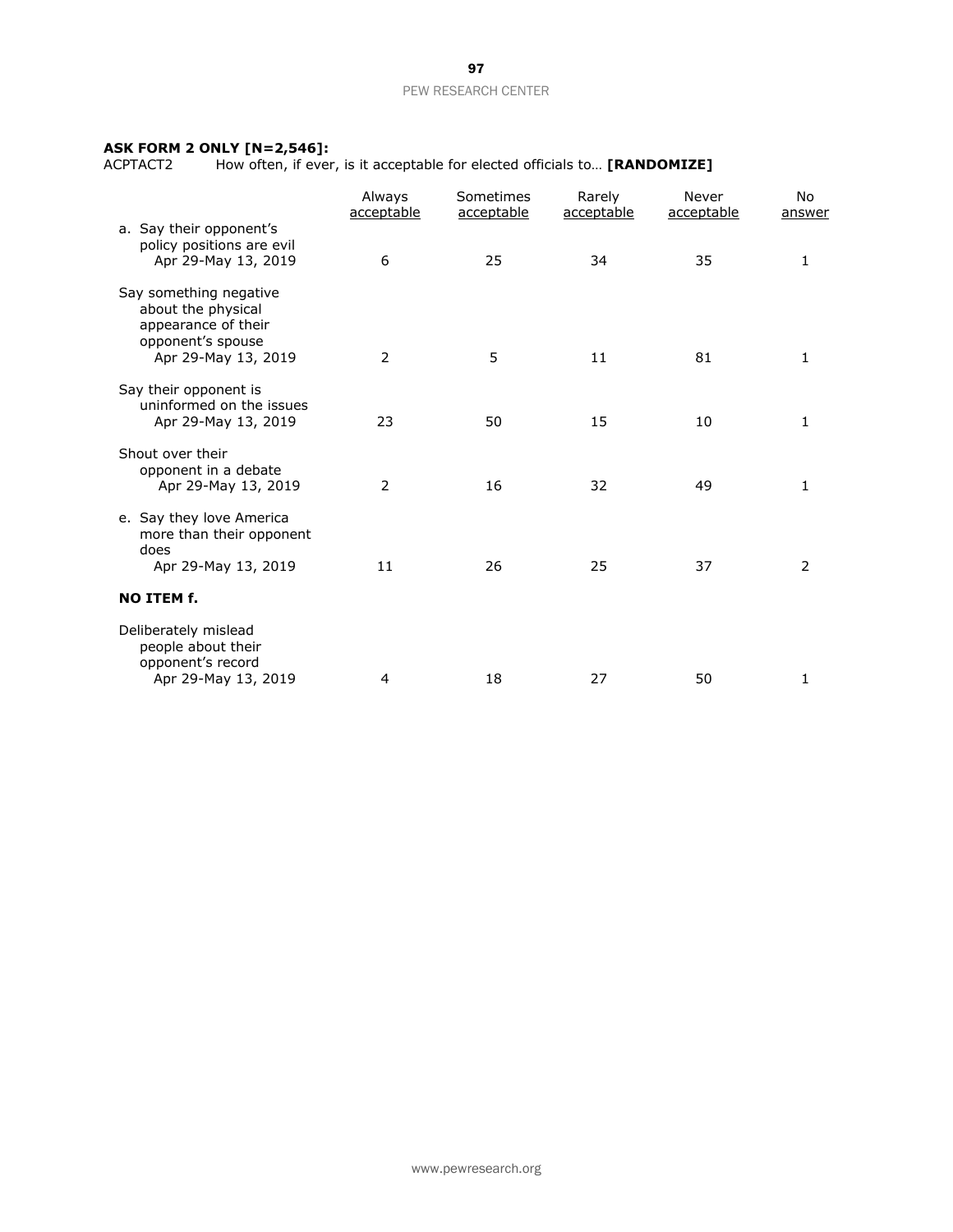#### **ASK FORM 2 ONLY [N=2,546]:**

ACPTACT2 How often, if ever, is it acceptable for elected officials to… **[RANDOMIZE]**

| a. Say their opponent's                                                                                         | Always<br>acceptable | Sometimes<br>acceptable | Rarely<br>acceptable | Never<br>acceptable | No.<br>answer |
|-----------------------------------------------------------------------------------------------------------------|----------------------|-------------------------|----------------------|---------------------|---------------|
| policy positions are evil<br>Apr 29-May 13, 2019                                                                | 6                    | 25                      | 34                   | 35                  | 1             |
| Say something negative<br>about the physical<br>appearance of their<br>opponent's spouse<br>Apr 29-May 13, 2019 | 2                    | 5                       | 11                   | 81                  | 1             |
| Say their opponent is<br>uninformed on the issues<br>Apr 29-May 13, 2019                                        | 23                   | 50                      | 15                   | 10                  | 1             |
| Shout over their<br>opponent in a debate<br>Apr 29-May 13, 2019                                                 | 2                    | 16                      | 32                   | 49                  | 1             |
| e. Say they love America<br>more than their opponent<br>does<br>Apr 29-May 13, 2019                             | 11                   | 26                      | 25                   | 37                  | 2             |
| <b>NO ITEM f.</b>                                                                                               |                      |                         |                      |                     |               |
| Deliberately mislead<br>people about their<br>opponent's record<br>Apr 29-May 13, 2019                          | $\overline{4}$       | 18                      | 27                   | 50                  | 1             |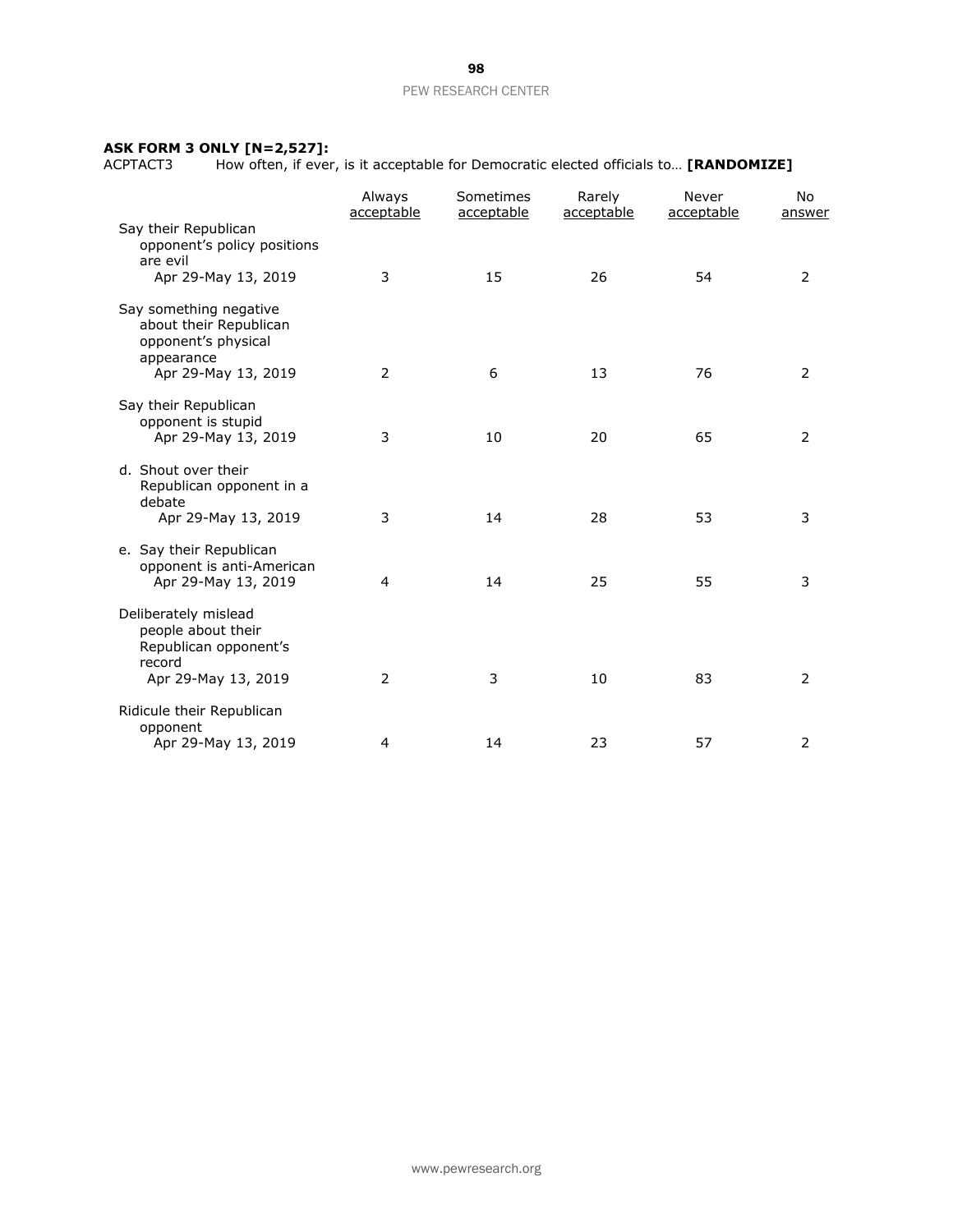#### **ASK FORM 3 ONLY [N=2,527]:**

ACPTACT3 How often, if ever, is it acceptable for Democratic elected officials to… **[RANDOMIZE]**

|                                                                                       | Always<br>acceptable | Sometimes<br>acceptable | Rarely<br>acceptable | Never<br>acceptable | No<br>answer   |
|---------------------------------------------------------------------------------------|----------------------|-------------------------|----------------------|---------------------|----------------|
| Say their Republican<br>opponent's policy positions<br>are evil                       |                      |                         |                      |                     |                |
| Apr 29-May 13, 2019                                                                   | 3                    | 15                      | 26                   | 54                  | $\overline{2}$ |
| Say something negative<br>about their Republican<br>opponent's physical<br>appearance |                      |                         |                      |                     |                |
| Apr 29-May 13, 2019                                                                   | $\overline{2}$       | 6                       | 13                   | 76                  | $\overline{2}$ |
| Say their Republican<br>opponent is stupid<br>Apr 29-May 13, 2019                     | 3                    | 10                      | 20                   | 65                  | $\overline{2}$ |
| d. Shout over their<br>Republican opponent in a<br>debate<br>Apr 29-May 13, 2019      | 3                    | 14                      | 28                   | 53                  | 3              |
| e. Say their Republican<br>opponent is anti-American<br>Apr 29-May 13, 2019           | 4                    | 14                      | 25                   | 55                  | 3              |
| Deliberately mislead<br>people about their<br>Republican opponent's<br>record         |                      |                         |                      |                     |                |
| Apr 29-May 13, 2019                                                                   | $\overline{2}$       | 3                       | 10                   | 83                  | $\overline{2}$ |
| Ridicule their Republican<br>opponent                                                 |                      |                         |                      |                     |                |
| Apr 29-May 13, 2019                                                                   | 4                    | 14                      | 23                   | 57                  | 2              |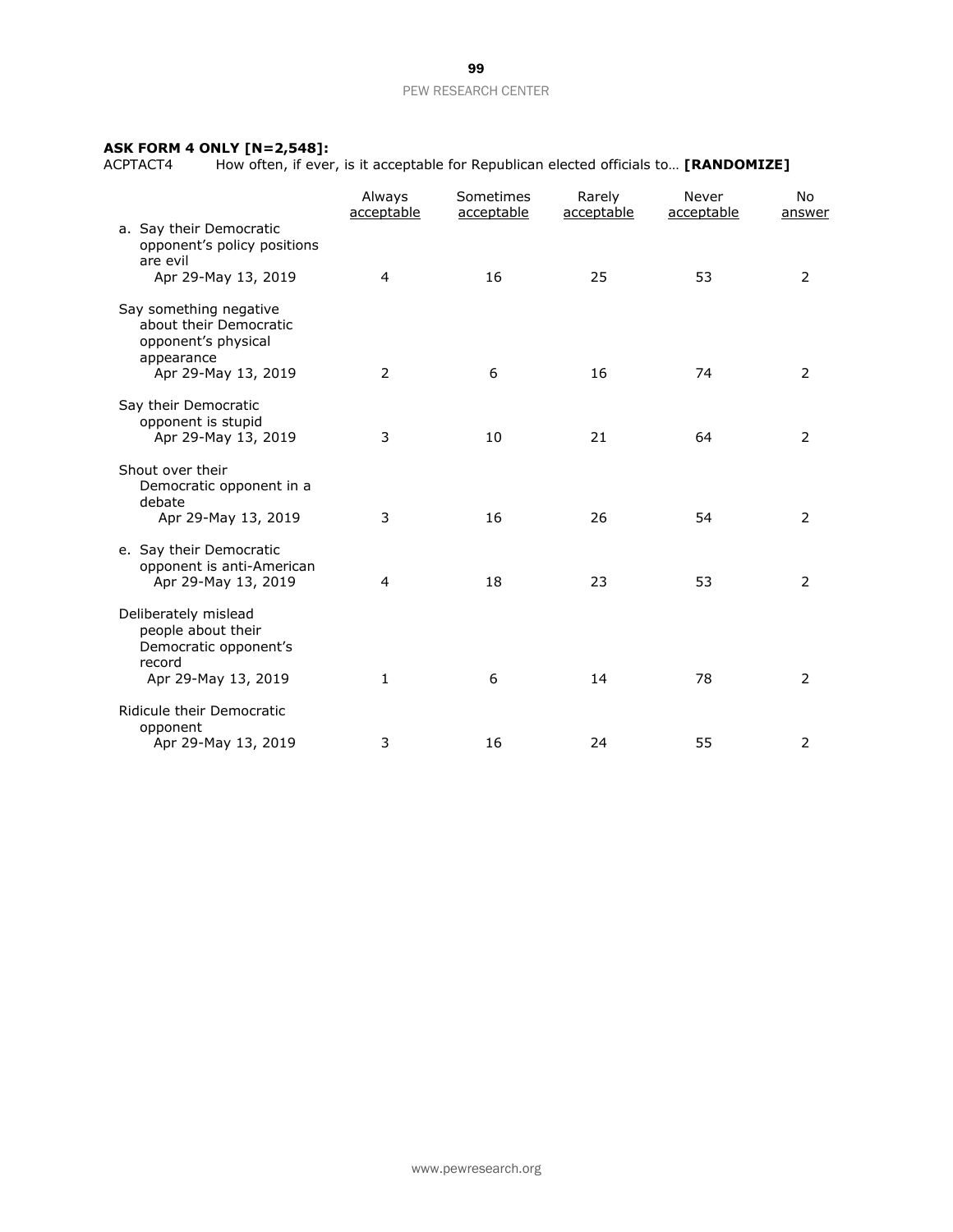#### **ASK FORM 4 ONLY [N=2,548]:**

ACPTACT4 How often, if ever, is it acceptable for Republican elected officials to… **[RANDOMIZE]**

|                                                                                       | Always<br>acceptable | Sometimes<br>acceptable | Rarely<br>acceptable | Never<br>acceptable | No<br>answer   |
|---------------------------------------------------------------------------------------|----------------------|-------------------------|----------------------|---------------------|----------------|
| a. Say their Democratic<br>opponent's policy positions<br>are evil                    |                      |                         |                      |                     |                |
| Apr 29-May 13, 2019                                                                   | 4                    | 16                      | 25                   | 53                  | $\overline{2}$ |
| Say something negative<br>about their Democratic<br>opponent's physical<br>appearance |                      |                         |                      |                     |                |
| Apr 29-May 13, 2019                                                                   | 2                    | 6                       | 16                   | 74                  | $\overline{2}$ |
| Say their Democratic<br>opponent is stupid<br>Apr 29-May 13, 2019                     | 3                    | 10                      | 21                   | 64                  | $\overline{2}$ |
| Shout over their<br>Democratic opponent in a<br>debate                                |                      |                         |                      |                     |                |
| Apr 29-May 13, 2019                                                                   | 3                    | 16                      | 26                   | 54                  | $\overline{2}$ |
| e. Say their Democratic<br>opponent is anti-American<br>Apr 29-May 13, 2019           | 4                    | 18                      | 23                   | 53                  | $\overline{2}$ |
| Deliberately mislead<br>people about their<br>Democratic opponent's<br>record         |                      |                         |                      |                     |                |
| Apr 29-May 13, 2019                                                                   | 1                    | 6                       | 14                   | 78                  | $\overline{2}$ |
| Ridicule their Democratic<br>opponent                                                 |                      |                         |                      |                     |                |
| Apr 29-May 13, 2019                                                                   | 3                    | 16                      | 24                   | 55                  | 2              |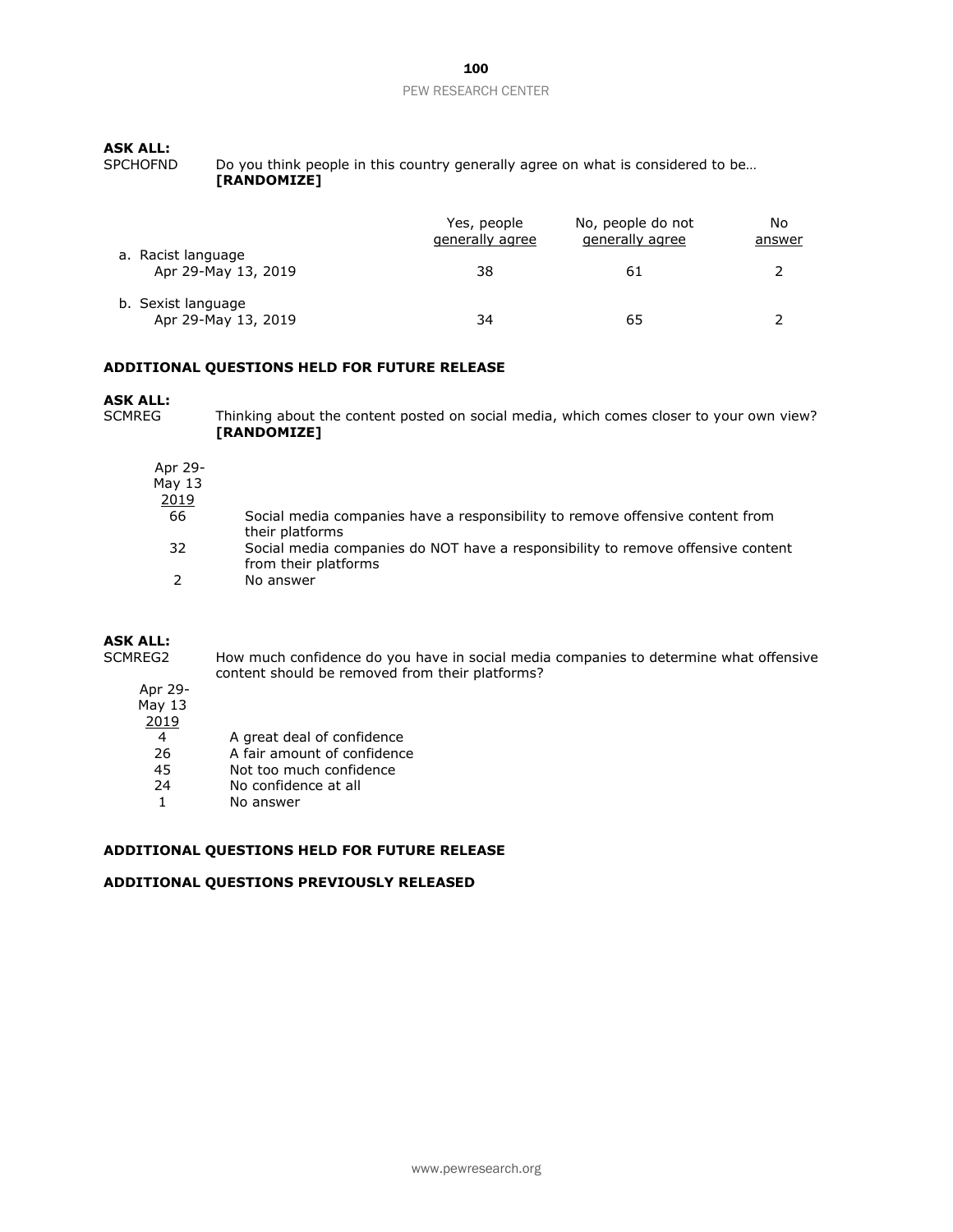### **ASK ALL:**

SPCHOFND Do you think people in this country generally agree on what is considered to be... **[RANDOMIZE]**

|                                           | Yes, people<br>generally agree | No, people do not<br>generally agree | No<br><u>answer</u> |
|-------------------------------------------|--------------------------------|--------------------------------------|---------------------|
| a. Racist language<br>Apr 29-May 13, 2019 | 38                             | 61                                   |                     |
| b. Sexist language<br>Apr 29-May 13, 2019 | 34                             | 65                                   |                     |

## **ADDITIONAL QUESTIONS HELD FOR FUTURE RELEASE**

# **ASK ALL:**<br>SCMRFG

Thinking about the content posted on social media, which comes closer to your own view? **[RANDOMIZE]** 

| Δ<br>L<br>۰.<br>г |  |
|-------------------|--|
|                   |  |

May 13

 $\frac{2019}{66}$ 

- Social media companies have a responsibility to remove offensive content from their platforms
- 32 Social media companies do NOT have a responsibility to remove offensive content from their platforms
- 2 No answer

### **ASK ALL:**

SCMREG2 How much confidence do you have in social media companies to determine what offensive content should be removed from their platforms?

#### Apr 29- May 13

- 2019
	-
- 4 A great deal of confidence<br>26 A fair amount of confidence 26 A fair amount of confidence<br>45 Not too much confidence
- Not too much confidence
- 24 No confidence at all
- 1 No answer

# **ADDITIONAL QUESTIONS HELD FOR FUTURE RELEASE**

### **ADDITIONAL QUESTIONS PREVIOUSLY RELEASED**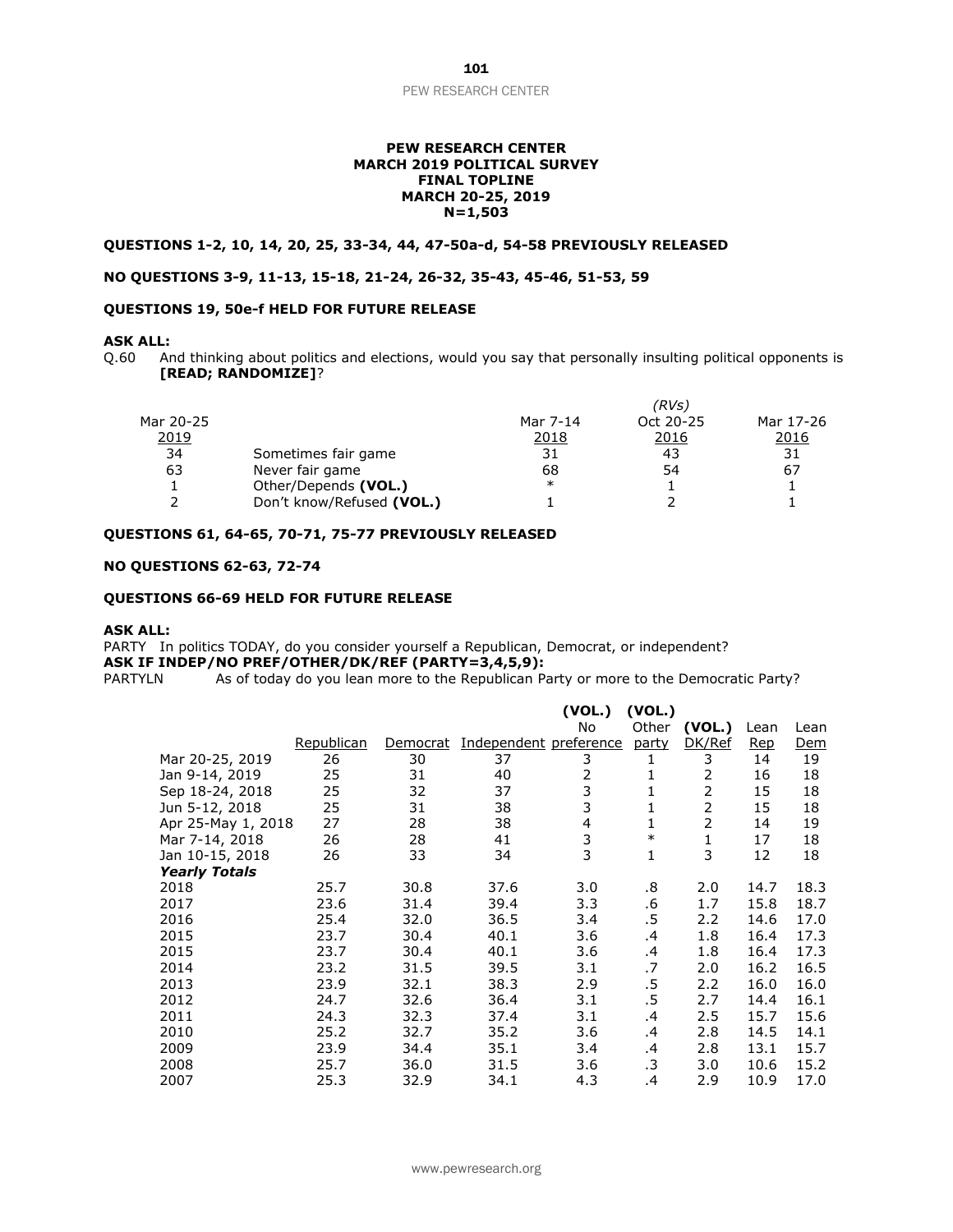#### **PEW RESEARCH CENTER MARCH 2019 POLITICAL SURVEY FINAL TOPLINE MARCH 20-25, 2019 N=1,503**

### **QUESTIONS 1-2, 10, 14, 20, 25, 33-34, 44, 47-50a-d, 54-58 PREVIOUSLY RELEASED**

### **NO QUESTIONS 3-9, 11-13, 15-18, 21-24, 26-32, 35-43, 45-46, 51-53, 59**

# **QUESTIONS 19, 50e-f HELD FOR FUTURE RELEASE**

#### **ASK ALL:**

Q.60 And thinking about politics and elections, would you say that personally insulting political opponents is **[READ; RANDOMIZE]**?

|           |                           | (RVs)    |           |           |  |  |
|-----------|---------------------------|----------|-----------|-----------|--|--|
| Mar 20-25 |                           | Mar 7-14 | Oct 20-25 | Mar 17-26 |  |  |
| 2019      |                           | 2018     | 2016      | 2016      |  |  |
| 34        | Sometimes fair game       | 31       | 43        | 31        |  |  |
| 63        | Never fair game           | 68       | 54        | 67        |  |  |
|           | Other/Depends (VOL.)      | $\ast$   |           |           |  |  |
|           | Don't know/Refused (VOL.) |          |           |           |  |  |

# **QUESTIONS 61, 64-65, 70-71, 75-77 PREVIOUSLY RELEASED**

# **NO QUESTIONS 62-63, 72-74**

#### **QUESTIONS 66-69 HELD FOR FUTURE RELEASE**

#### **ASK ALL:**

PARTY In politics TODAY, do you consider yourself a Republican, Democrat, or independent? **ASK IF INDEP/NO PREF/OTHER/DK/REF (PARTY=3,4,5,9):**

PARTYLN As of today do you lean more to the Republican Party or more to the Democratic Party?

|                      |            |          |                        | (VOL.)         | (VOL.) |        |            |            |
|----------------------|------------|----------|------------------------|----------------|--------|--------|------------|------------|
|                      |            |          |                        | No             | Other  | (VOL.) | Lean       | Lean       |
|                      | Republican | Democrat | Independent preference |                | party  | DK/Ref | <u>Rep</u> | <u>Dem</u> |
| Mar 20-25, 2019      | 26         | 30       | 37                     | 3              | 1      | 3      | 14         | 19         |
| Jan 9-14, 2019       | 25         | 31       | 40                     | 2              | 1      | 2      | 16         | 18         |
| Sep 18-24, 2018      | 25         | 32       | 37                     | 3              | 1      | 2      | 15         | 18         |
| Jun 5-12, 2018       | 25         | 31       | 38                     | 3              | 1      | 2      | 15         | 18         |
| Apr 25-May 1, 2018   | 27         | 28       | 38                     | $\overline{4}$ | 1      | 2      | 14         | 19         |
| Mar 7-14, 2018       | 26         | 28       | 41                     | 3              | $\ast$ | 1      | 17         | 18         |
| Jan 10-15, 2018      | 26         | 33       | 34                     | 3              | 1      | 3      | 12         | 18         |
| <b>Yearly Totals</b> |            |          |                        |                |        |        |            |            |
| 2018                 | 25.7       | 30.8     | 37.6                   | 3.0            | .8     | 2.0    | 14.7       | 18.3       |
| 2017                 | 23.6       | 31.4     | 39.4                   | 3.3            | .6     | 1.7    | 15.8       | 18.7       |
| 2016                 | 25.4       | 32.0     | 36.5                   | 3.4            | .5     | 2.2    | 14.6       | 17.0       |
| 2015                 | 23.7       | 30.4     | 40.1                   | 3.6            | .4     | 1.8    | 16.4       | 17.3       |
| 2015                 | 23.7       | 30.4     | 40.1                   | 3.6            | .4     | 1.8    | 16.4       | 17.3       |
| 2014                 | 23.2       | 31.5     | 39.5                   | 3.1            | .7     | 2.0    | 16.2       | 16.5       |
| 2013                 | 23.9       | 32.1     | 38.3                   | 2.9            | .5     | 2.2    | 16.0       | 16.0       |
| 2012                 | 24.7       | 32.6     | 36.4                   | 3.1            | .5     | 2.7    | 14.4       | 16.1       |
| 2011                 | 24.3       | 32.3     | 37.4                   | 3.1            | .4     | 2.5    | 15.7       | 15.6       |
| 2010                 | 25.2       | 32.7     | 35.2                   | 3.6            | .4     | 2.8    | 14.5       | 14.1       |
| 2009                 | 23.9       | 34.4     | 35.1                   | 3.4            | .4     | 2.8    | 13.1       | 15.7       |
| 2008                 | 25.7       | 36.0     | 31.5                   | 3.6            | .3     | 3.0    | 10.6       | 15.2       |
| 2007                 | 25.3       | 32.9     | 34.1                   | 4.3            | .4     | 2.9    | 10.9       | 17.0       |